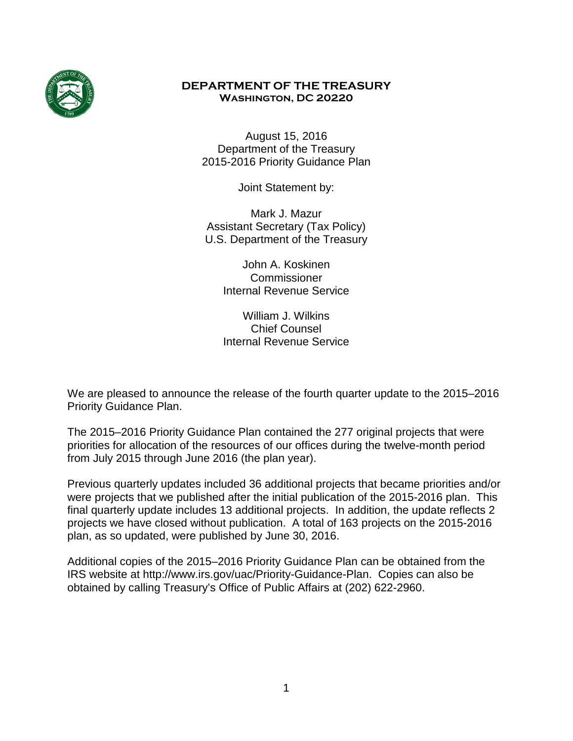

### **DEPARTMENT OF THE TREASURY Washington, DC 20220**

August 15, 2016 Department of the Treasury 2015-2016 Priority Guidance Plan

Joint Statement by:

Mark J. Mazur Assistant Secretary (Tax Policy) U.S. Department of the Treasury

> John A. Koskinen Commissioner Internal Revenue Service

William J. Wilkins Chief Counsel Internal Revenue Service

We are pleased to announce the release of the fourth quarter update to the 2015–2016 Priority Guidance Plan.

The 2015–2016 Priority Guidance Plan contained the 277 original projects that were priorities for allocation of the resources of our offices during the twelve-month period from July 2015 through June 2016 (the plan year).

Previous quarterly updates included 36 additional projects that became priorities and/or were projects that we published after the initial publication of the 2015-2016 plan. This final quarterly update includes 13 additional projects. In addition, the update reflects 2 projects we have closed without publication. A total of 163 projects on the 2015-2016 plan, as so updated, were published by June 30, 2016.

Additional copies of the 2015–2016 Priority Guidance Plan can be obtained from the IRS website at http://www.irs.gov/uac/Priority-Guidance-Plan. Copies can also be obtained by calling Treasury's Office of Public Affairs at (202) 622-2960.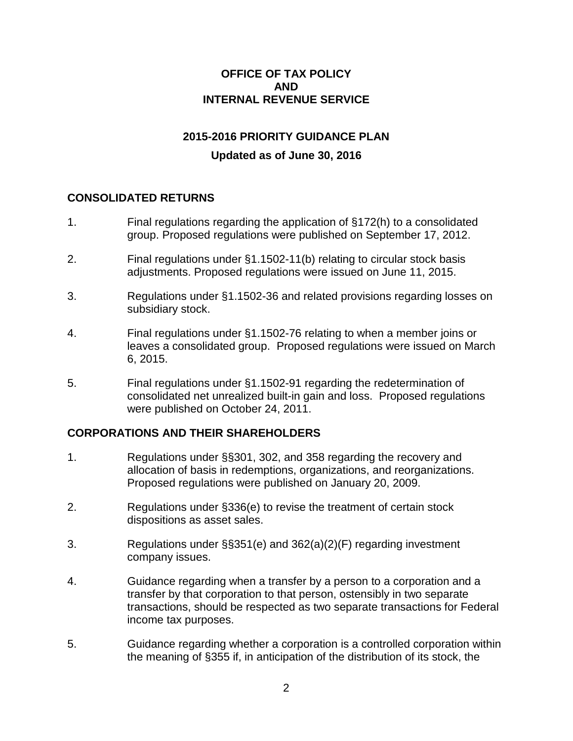#### **OFFICE OF TAX POLICY AND INTERNAL REVENUE SERVICE**

# **2015-2016 PRIORITY GUIDANCE PLAN**

# **Updated as of June 30, 2016**

### **CONSOLIDATED RETURNS**

- 1. Final regulations regarding the application of §172(h) to a consolidated group. Proposed regulations were published on September 17, 2012.
- 2. Final regulations under §1.1502-11(b) relating to circular stock basis adjustments. Proposed regulations were issued on June 11, 2015.
- 3. Regulations under §1.1502-36 and related provisions regarding losses on subsidiary stock.
- 4. Final regulations under §1.1502-76 relating to when a member joins or leaves a consolidated group. Proposed regulations were issued on March 6, 2015.
- 5. Final regulations under §1.1502-91 regarding the redetermination of consolidated net unrealized built-in gain and loss. Proposed regulations were published on October 24, 2011.

#### **CORPORATIONS AND THEIR SHAREHOLDERS**

- 1. Regulations under §§301, 302, and 358 regarding the recovery and allocation of basis in redemptions, organizations, and reorganizations. Proposed regulations were published on January 20, 2009.
- 2. Regulations under §336(e) to revise the treatment of certain stock dispositions as asset sales.
- 3. Regulations under §§351(e) and 362(a)(2)(F) regarding investment company issues.
- 4. Guidance regarding when a transfer by a person to a corporation and a transfer by that corporation to that person, ostensibly in two separate transactions, should be respected as two separate transactions for Federal income tax purposes.
- 5. Guidance regarding whether a corporation is a controlled corporation within the meaning of §355 if, in anticipation of the distribution of its stock, the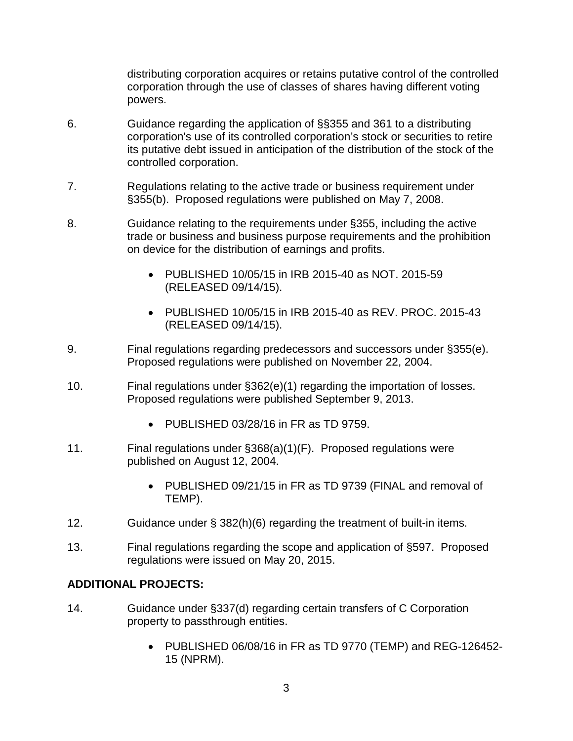distributing corporation acquires or retains putative control of the controlled corporation through the use of classes of shares having different voting powers.

- 6. Guidance regarding the application of §§355 and 361 to a distributing corporation's use of its controlled corporation's stock or securities to retire its putative debt issued in anticipation of the distribution of the stock of the controlled corporation.
- 7. Regulations relating to the active trade or business requirement under §355(b). Proposed regulations were published on May 7, 2008.
- 8. Guidance relating to the requirements under §355, including the active trade or business and business purpose requirements and the prohibition on device for the distribution of earnings and profits.
	- PUBLISHED 10/05/15 in IRB 2015-40 as NOT. 2015-59 (RELEASED 09/14/15).
	- PUBLISHED 10/05/15 in IRB 2015-40 as REV. PROC. 2015-43 (RELEASED 09/14/15).
- 9. Final regulations regarding predecessors and successors under §355(e). Proposed regulations were published on November 22, 2004.
- 10. Final regulations under §362(e)(1) regarding the importation of losses. Proposed regulations were published September 9, 2013.
	- PUBLISHED 03/28/16 in FR as TD 9759.
- 11. Final regulations under §368(a)(1)(F). Proposed regulations were published on August 12, 2004.
	- PUBLISHED 09/21/15 in FR as TD 9739 (FINAL and removal of TEMP).
- 12. Guidance under § 382(h)(6) regarding the treatment of built-in items.
- 13. Final regulations regarding the scope and application of §597. Proposed regulations were issued on May 20, 2015.

# **ADDITIONAL PROJECTS:**

- 14. Guidance under §337(d) regarding certain transfers of C Corporation property to passthrough entities.
	- PUBLISHED 06/08/16 in FR as TD 9770 (TEMP) and REG-126452- 15 (NPRM).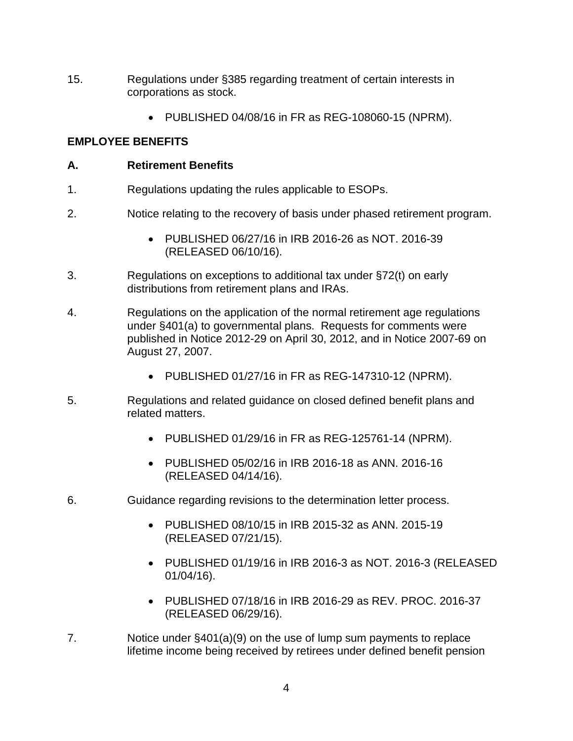- 15. Regulations under §385 regarding treatment of certain interests in corporations as stock.
	- PUBLISHED 04/08/16 in FR as REG-108060-15 (NPRM).

#### **EMPLOYEE BENEFITS**

#### **A. Retirement Benefits**

- 1. Regulations updating the rules applicable to ESOPs.
- 2. Notice relating to the recovery of basis under phased retirement program.
	- PUBLISHED 06/27/16 in IRB 2016-26 as NOT. 2016-39 (RELEASED 06/10/16).
- 3. Regulations on exceptions to additional tax under §72(t) on early distributions from retirement plans and IRAs.
- 4. Regulations on the application of the normal retirement age regulations under §401(a) to governmental plans. Requests for comments were published in Notice 2012-29 on April 30, 2012, and in Notice 2007-69 on August 27, 2007.
	- PUBLISHED 01/27/16 in FR as REG-147310-12 (NPRM).
- 5. Regulations and related guidance on closed defined benefit plans and related matters.
	- PUBLISHED 01/29/16 in FR as REG-125761-14 (NPRM).
	- PUBLISHED 05/02/16 in IRB 2016-18 as ANN. 2016-16 (RELEASED 04/14/16).
- 6. Guidance regarding revisions to the determination letter process.
	- PUBLISHED 08/10/15 in IRB 2015-32 as ANN. 2015-19 (RELEASED 07/21/15).
	- PUBLISHED 01/19/16 in IRB 2016-3 as NOT. 2016-3 (RELEASED 01/04/16).
	- PUBLISHED 07/18/16 in IRB 2016-29 as REV. PROC. 2016-37 (RELEASED 06/29/16).
- 7. Notice under §401(a)(9) on the use of lump sum payments to replace lifetime income being received by retirees under defined benefit pension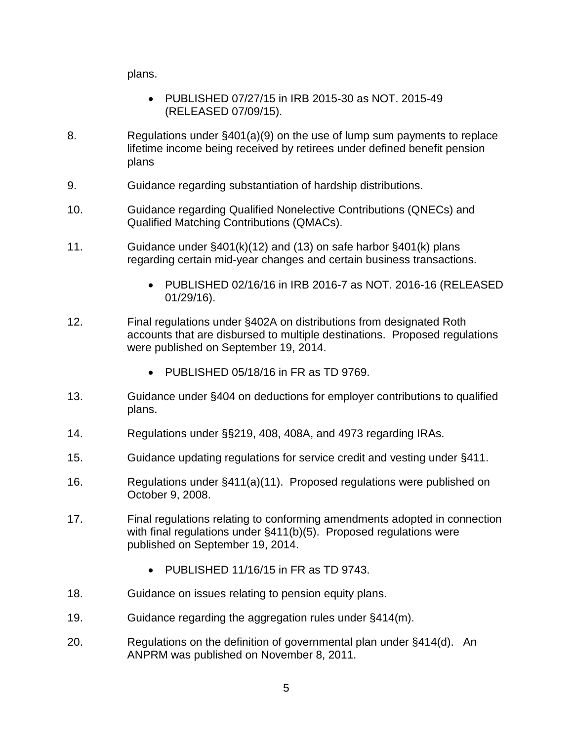plans.

- PUBLISHED 07/27/15 in IRB 2015-30 as NOT. 2015-49 (RELEASED 07/09/15).
- 8. Regulations under §401(a)(9) on the use of lump sum payments to replace lifetime income being received by retirees under defined benefit pension plans
- 9. Guidance regarding substantiation of hardship distributions.
- 10. Guidance regarding Qualified Nonelective Contributions (QNECs) and Qualified Matching Contributions (QMACs).
- 11. Guidance under §401(k)(12) and (13) on safe harbor §401(k) plans regarding certain mid-year changes and certain business transactions.
	- PUBLISHED 02/16/16 in IRB 2016-7 as NOT. 2016-16 (RELEASED 01/29/16).
- 12. Final regulations under §402A on distributions from designated Roth accounts that are disbursed to multiple destinations. Proposed regulations were published on September 19, 2014.
	- PUBLISHED 05/18/16 in FR as TD 9769.
- 13. Guidance under §404 on deductions for employer contributions to qualified plans.
- 14. Regulations under §§219, 408, 408A, and 4973 regarding IRAs.
- 15. Guidance updating regulations for service credit and vesting under §411.
- 16. Regulations under §411(a)(11). Proposed regulations were published on October 9, 2008.
- 17. Final regulations relating to conforming amendments adopted in connection with final regulations under §411(b)(5). Proposed regulations were published on September 19, 2014.
	- PUBLISHED 11/16/15 in FR as TD 9743.
- 18. Guidance on issues relating to pension equity plans.
- 19. Guidance regarding the aggregation rules under §414(m).
- 20. Regulations on the definition of governmental plan under §414(d). An ANPRM was published on November 8, 2011.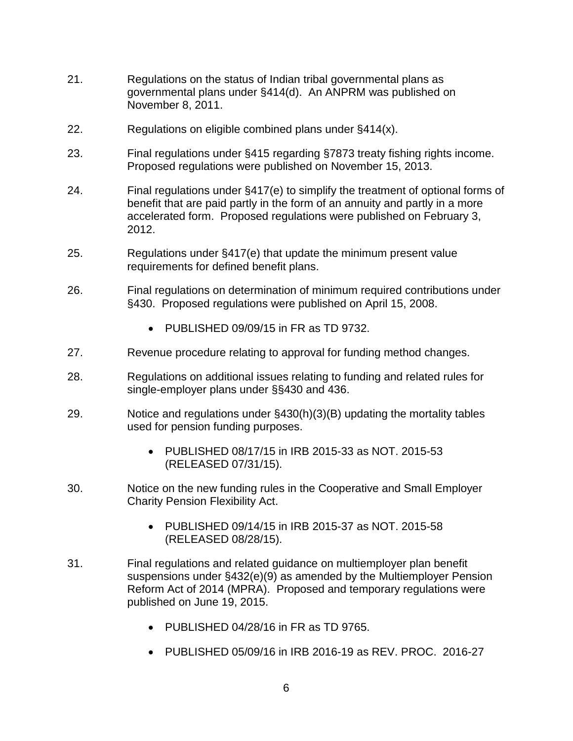- 21. Regulations on the status of Indian tribal governmental plans as governmental plans under §414(d). An ANPRM was published on November 8, 2011.
- 22. Regulations on eligible combined plans under §414(x).
- 23. Final regulations under §415 regarding §7873 treaty fishing rights income. Proposed regulations were published on November 15, 2013.
- 24. Final regulations under §417(e) to simplify the treatment of optional forms of benefit that are paid partly in the form of an annuity and partly in a more accelerated form. Proposed regulations were published on February 3, 2012.
- 25. Regulations under §417(e) that update the minimum present value requirements for defined benefit plans.
- 26. Final regulations on determination of minimum required contributions under §430. Proposed regulations were published on April 15, 2008.
	- PUBLISHED 09/09/15 in FR as TD 9732.
- 27. Revenue procedure relating to approval for funding method changes.
- 28. Regulations on additional issues relating to funding and related rules for single-employer plans under §§430 and 436.
- 29. Notice and regulations under §430(h)(3)(B) updating the mortality tables used for pension funding purposes.
	- PUBLISHED 08/17/15 in IRB 2015-33 as NOT. 2015-53 (RELEASED 07/31/15).
- 30. Notice on the new funding rules in the Cooperative and Small Employer Charity Pension Flexibility Act.
	- PUBLISHED 09/14/15 in IRB 2015-37 as NOT. 2015-58 (RELEASED 08/28/15).
- 31. Final regulations and related guidance on multiemployer plan benefit suspensions under §432(e)(9) as amended by the Multiemployer Pension Reform Act of 2014 (MPRA). Proposed and temporary regulations were published on June 19, 2015.
	- PUBLISHED 04/28/16 in FR as TD 9765.
	- PUBLISHED 05/09/16 in IRB 2016-19 as REV. PROC. 2016-27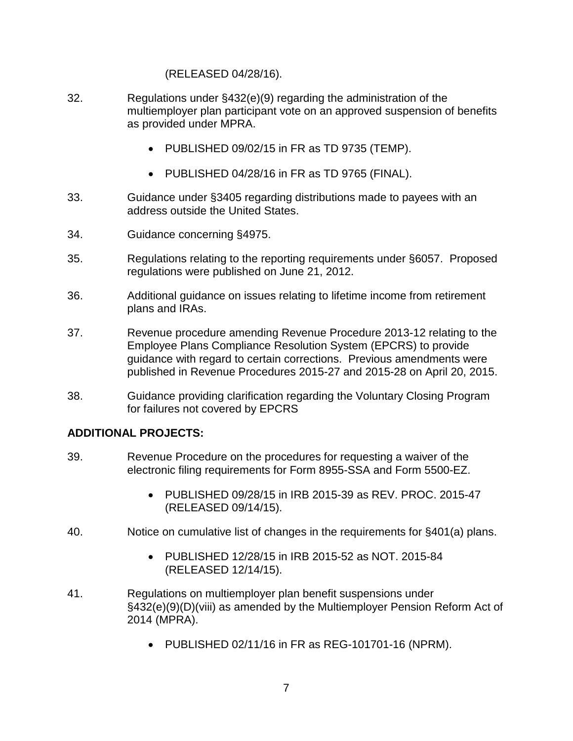#### (RELEASED 04/28/16).

- 32. Regulations under §432(e)(9) regarding the administration of the multiemployer plan participant vote on an approved suspension of benefits as provided under MPRA.
	- PUBLISHED 09/02/15 in FR as TD 9735 (TEMP).
	- PUBLISHED 04/28/16 in FR as TD 9765 (FINAL).
- 33. Guidance under §3405 regarding distributions made to payees with an address outside the United States.
- 34. Guidance concerning §4975.
- 35. Regulations relating to the reporting requirements under §6057. Proposed regulations were published on June 21, 2012.
- 36. Additional guidance on issues relating to lifetime income from retirement plans and IRAs.
- 37. Revenue procedure amending Revenue Procedure 2013-12 relating to the Employee Plans Compliance Resolution System (EPCRS) to provide guidance with regard to certain corrections. Previous amendments were published in Revenue Procedures 2015-27 and 2015-28 on April 20, 2015.
- 38. Guidance providing clarification regarding the Voluntary Closing Program for failures not covered by EPCRS

#### **ADDITIONAL PROJECTS:**

- 39. Revenue Procedure on the procedures for requesting a waiver of the electronic filing requirements for Form 8955-SSA and Form 5500-EZ.
	- PUBLISHED 09/28/15 in IRB 2015-39 as REV. PROC. 2015-47 (RELEASED 09/14/15).
- 40. Notice on cumulative list of changes in the requirements for §401(a) plans.
	- PUBLISHED 12/28/15 in IRB 2015-52 as NOT. 2015-84 (RELEASED 12/14/15).
- 41. Regulations on multiemployer plan benefit suspensions under §432(e)(9)(D)(viii) as amended by the Multiemployer Pension Reform Act of 2014 (MPRA).
	- PUBLISHED 02/11/16 in FR as REG-101701-16 (NPRM).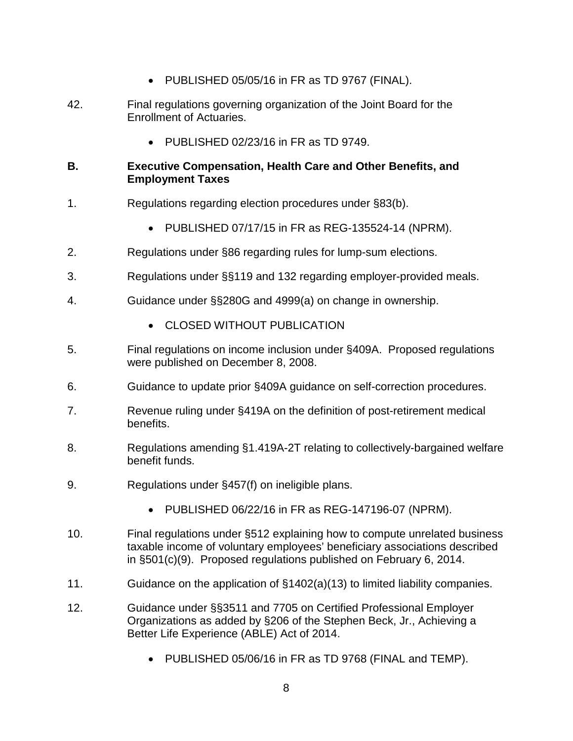- PUBLISHED 05/05/16 in FR as TD 9767 (FINAL).
- 42. Final regulations governing organization of the Joint Board for the Enrollment of Actuaries.
	- PUBLISHED 02/23/16 in FR as TD 9749.

# **B. Executive Compensation, Health Care and Other Benefits, and Employment Taxes**

- 1. Regulations regarding election procedures under §83(b).
	- PUBLISHED 07/17/15 in FR as REG-135524-14 (NPRM).
- 2. Regulations under §86 regarding rules for lump-sum elections.
- 3. Regulations under §§119 and 132 regarding employer-provided meals.
- 4. Guidance under §§280G and 4999(a) on change in ownership.
	- CLOSED WITHOUT PUBLICATION
- 5. Final regulations on income inclusion under §409A. Proposed regulations were published on December 8, 2008.
- 6. Guidance to update prior §409A guidance on self-correction procedures.
- 7. Revenue ruling under §419A on the definition of post-retirement medical benefits.
- 8. Regulations amending §1.419A-2T relating to collectively-bargained welfare benefit funds.
- 9. Regulations under §457(f) on ineligible plans.
	- PUBLISHED 06/22/16 in FR as REG-147196-07 (NPRM).
- 10. Final regulations under §512 explaining how to compute unrelated business taxable income of voluntary employees' beneficiary associations described in §501(c)(9). Proposed regulations published on February 6, 2014.
- 11. Guidance on the application of §1402(a)(13) to limited liability companies.
- 12. Guidance under §§3511 and 7705 on Certified Professional Employer Organizations as added by §206 of the Stephen Beck, Jr., Achieving a Better Life Experience (ABLE) Act of 2014.
	- PUBLISHED 05/06/16 in FR as TD 9768 (FINAL and TEMP).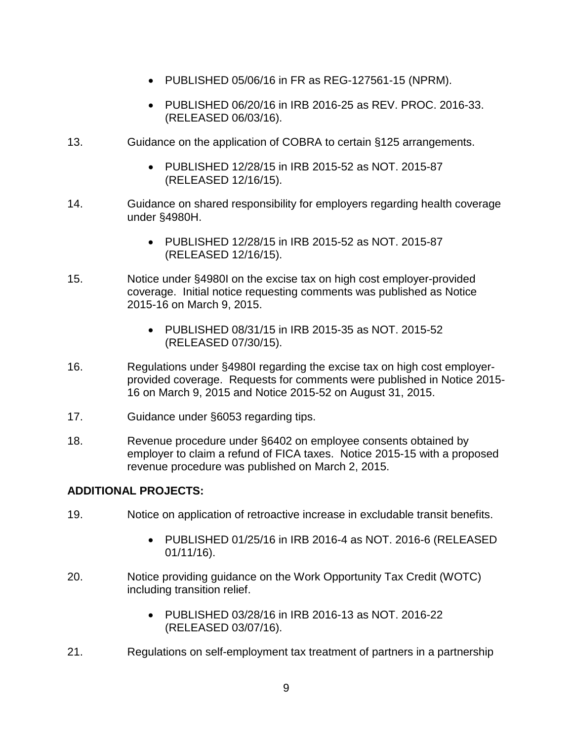- PUBLISHED 05/06/16 in FR as REG-127561-15 (NPRM).
- PUBLISHED 06/20/16 in IRB 2016-25 as REV. PROC. 2016-33. (RELEASED 06/03/16).
- 13. Guidance on the application of COBRA to certain §125 arrangements.
	- PUBLISHED 12/28/15 in IRB 2015-52 as NOT. 2015-87 (RELEASED 12/16/15).
- 14. Guidance on shared responsibility for employers regarding health coverage under §4980H.
	- PUBLISHED 12/28/15 in IRB 2015-52 as NOT. 2015-87 (RELEASED 12/16/15).
- 15. Notice under §4980I on the excise tax on high cost employer-provided coverage. Initial notice requesting comments was published as Notice 2015-16 on March 9, 2015.
	- PUBLISHED 08/31/15 in IRB 2015-35 as NOT. 2015-52 (RELEASED 07/30/15).
- 16. Regulations under §4980I regarding the excise tax on high cost employerprovided coverage. Requests for comments were published in Notice 2015- 16 on March 9, 2015 and Notice 2015-52 on August 31, 2015.
- 17. Guidance under §6053 regarding tips.
- 18. Revenue procedure under §6402 on employee consents obtained by employer to claim a refund of FICA taxes. Notice 2015-15 with a proposed revenue procedure was published on March 2, 2015.

#### **ADDITIONAL PROJECTS:**

- 19. Notice on application of retroactive increase in excludable transit benefits.
	- PUBLISHED 01/25/16 in IRB 2016-4 as NOT. 2016-6 (RELEASED 01/11/16).
- 20. Notice providing guidance on the Work Opportunity Tax Credit (WOTC) including transition relief.
	- PUBLISHED 03/28/16 in IRB 2016-13 as NOT. 2016-22 (RELEASED 03/07/16).
- 21. Regulations on self-employment tax treatment of partners in a partnership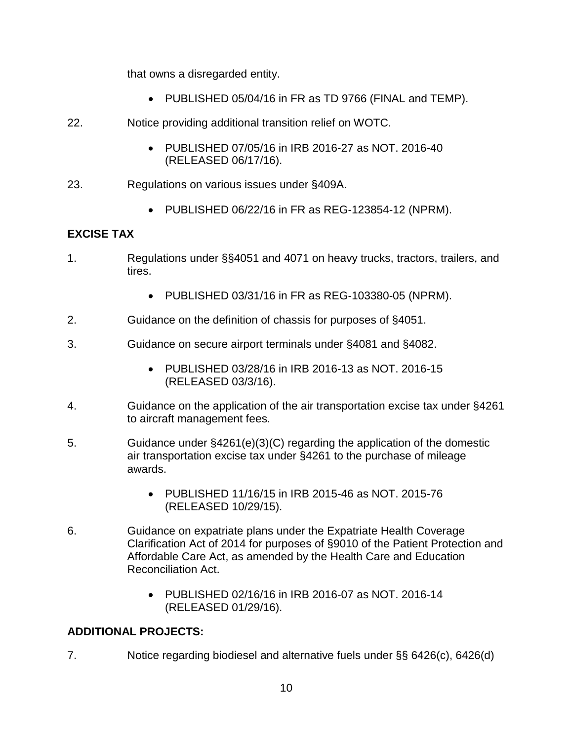that owns a disregarded entity.

- PUBLISHED 05/04/16 in FR as TD 9766 (FINAL and TEMP).
- 22. Notice providing additional transition relief on WOTC.
	- PUBLISHED 07/05/16 in IRB 2016-27 as NOT. 2016-40 (RELEASED 06/17/16).
- 23. Regulations on various issues under §409A.
	- PUBLISHED 06/22/16 in FR as REG-123854-12 (NPRM).

# **EXCISE TAX**

- 1. Regulations under §§4051 and 4071 on heavy trucks, tractors, trailers, and tires.
	- PUBLISHED 03/31/16 in FR as REG-103380-05 (NPRM).
- 2. Guidance on the definition of chassis for purposes of §4051.
- 3. Guidance on secure airport terminals under §4081 and §4082.
	- PUBLISHED 03/28/16 in IRB 2016-13 as NOT. 2016-15 (RELEASED 03/3/16).
- 4. Guidance on the application of the air transportation excise tax under §4261 to aircraft management fees.
- 5. Guidance under §4261(e)(3)(C) regarding the application of the domestic air transportation excise tax under §4261 to the purchase of mileage awards.
	- PUBLISHED 11/16/15 in IRB 2015-46 as NOT. 2015-76 (RELEASED 10/29/15).
- 6. Guidance on expatriate plans under the Expatriate Health Coverage Clarification Act of 2014 for purposes of §9010 of the Patient Protection and Affordable Care Act, as amended by the Health Care and Education Reconciliation Act.
	- PUBLISHED 02/16/16 in IRB 2016-07 as NOT. 2016-14 (RELEASED 01/29/16).

# **ADDITIONAL PROJECTS:**

7. Notice regarding biodiesel and alternative fuels under §§ 6426(c), 6426(d)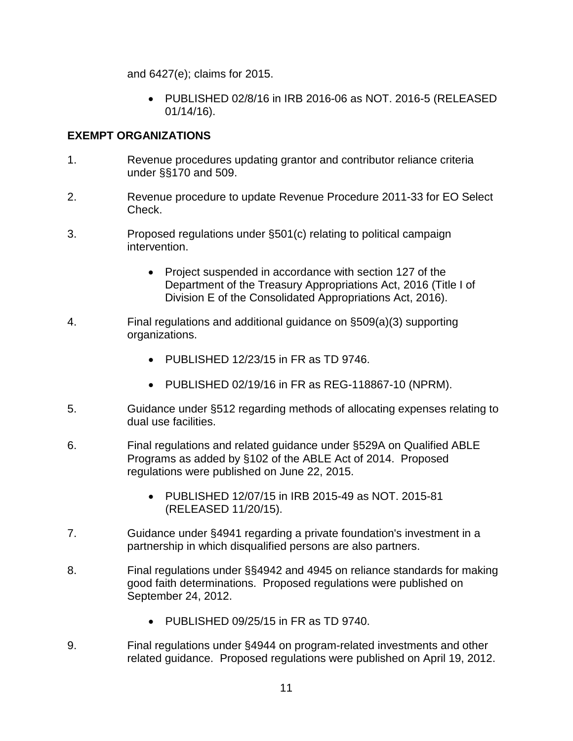and 6427(e); claims for 2015.

• PUBLISHED 02/8/16 in IRB 2016-06 as NOT. 2016-5 (RELEASED 01/14/16).

# **EXEMPT ORGANIZATIONS**

- 1. Revenue procedures updating grantor and contributor reliance criteria under §§170 and 509.
- 2. Revenue procedure to update Revenue Procedure 2011-33 for EO Select Check.
- 3. Proposed regulations under §501(c) relating to political campaign intervention.
	- Project suspended in accordance with section 127 of the Department of the Treasury Appropriations Act, 2016 (Title I of Division E of the Consolidated Appropriations Act, 2016).
- 4. Final regulations and additional guidance on §509(a)(3) supporting organizations.
	- PUBLISHED 12/23/15 in FR as TD 9746.
	- PUBLISHED 02/19/16 in FR as REG-118867-10 (NPRM).
- 5. Guidance under §512 regarding methods of allocating expenses relating to dual use facilities.
- 6. Final regulations and related guidance under §529A on Qualified ABLE Programs as added by §102 of the ABLE Act of 2014. Proposed regulations were published on June 22, 2015.
	- PUBLISHED 12/07/15 in IRB 2015-49 as NOT. 2015-81 (RELEASED 11/20/15).
- 7. Guidance under §4941 regarding a private foundation's investment in a partnership in which disqualified persons are also partners.
- 8. Final regulations under §§4942 and 4945 on reliance standards for making good faith determinations. Proposed regulations were published on September 24, 2012.
	- PUBLISHED 09/25/15 in FR as TD 9740.
- 9. Final regulations under §4944 on program-related investments and other related guidance. Proposed regulations were published on April 19, 2012.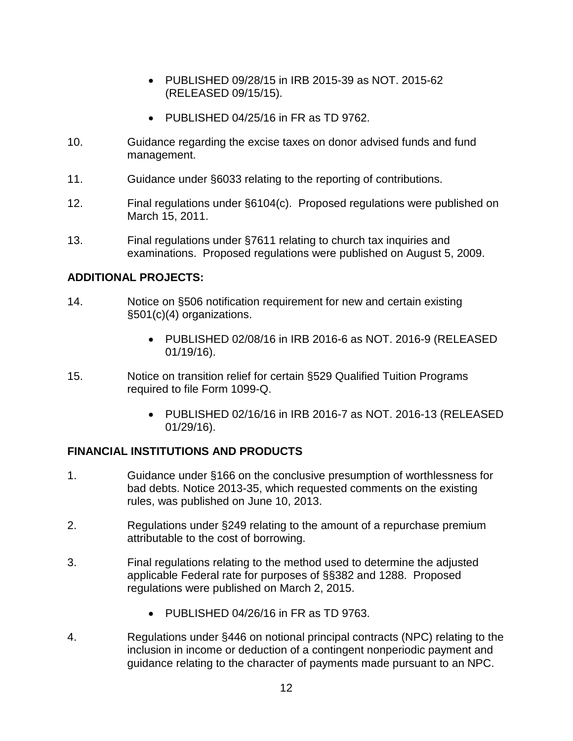- PUBLISHED 09/28/15 in IRB 2015-39 as NOT. 2015-62 (RELEASED 09/15/15).
- PUBLISHED 04/25/16 in FR as TD 9762.
- 10. Guidance regarding the excise taxes on donor advised funds and fund management.
- 11. Guidance under §6033 relating to the reporting of contributions.
- 12. Final regulations under §6104(c). Proposed regulations were published on March 15, 2011.
- 13. Final regulations under §7611 relating to church tax inquiries and examinations. Proposed regulations were published on August 5, 2009.

#### **ADDITIONAL PROJECTS:**

- 14. Notice on §506 notification requirement for new and certain existing §501(c)(4) organizations.
	- PUBLISHED 02/08/16 in IRB 2016-6 as NOT. 2016-9 (RELEASED 01/19/16).
- 15. Notice on transition relief for certain §529 Qualified Tuition Programs required to file Form 1099-Q.
	- PUBLISHED 02/16/16 in IRB 2016-7 as NOT. 2016-13 (RELEASED 01/29/16).

#### **FINANCIAL INSTITUTIONS AND PRODUCTS**

- 1. Guidance under §166 on the conclusive presumption of worthlessness for bad debts. Notice 2013-35, which requested comments on the existing rules, was published on June 10, 2013.
- 2. Regulations under §249 relating to the amount of a repurchase premium attributable to the cost of borrowing.
- 3. Final regulations relating to the method used to determine the adjusted applicable Federal rate for purposes of §§382 and 1288. Proposed regulations were published on March 2, 2015.
	- PUBLISHED 04/26/16 in FR as TD 9763.
- 4. Regulations under §446 on notional principal contracts (NPC) relating to the inclusion in income or deduction of a contingent nonperiodic payment and guidance relating to the character of payments made pursuant to an NPC.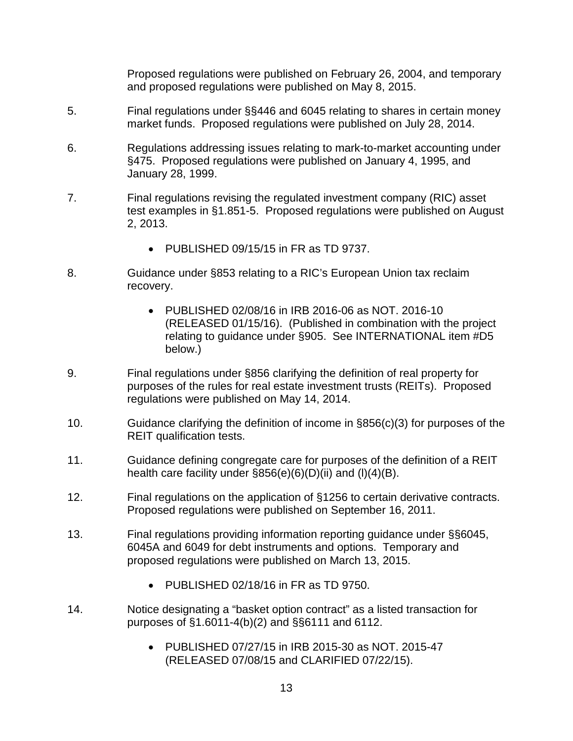Proposed regulations were published on February 26, 2004, and temporary and proposed regulations were published on May 8, 2015.

- 5. Final regulations under §§446 and 6045 relating to shares in certain money market funds. Proposed regulations were published on July 28, 2014.
- 6. Regulations addressing issues relating to mark-to-market accounting under §475. Proposed regulations were published on January 4, 1995, and January 28, 1999.
- 7. Final regulations revising the regulated investment company (RIC) asset test examples in §1.851-5. Proposed regulations were published on August 2, 2013.
	- PUBLISHED 09/15/15 in FR as TD 9737.
- 8. Guidance under §853 relating to a RIC's European Union tax reclaim recovery.
	- PUBLISHED 02/08/16 in IRB 2016-06 as NOT. 2016-10 (RELEASED 01/15/16). (Published in combination with the project relating to guidance under §905. See INTERNATIONAL item #D5 below.)
- 9. Final regulations under §856 clarifying the definition of real property for purposes of the rules for real estate investment trusts (REITs). Proposed regulations were published on May 14, 2014.
- 10. Guidance clarifying the definition of income in §856(c)(3) for purposes of the REIT qualification tests.
- 11. Guidance defining congregate care for purposes of the definition of a REIT health care facility under  $\S 856(e)(6)(D)(ii)$  and  $(I)(4)(B)$ .
- 12. Final regulations on the application of §1256 to certain derivative contracts. Proposed regulations were published on September 16, 2011.
- 13. Final regulations providing information reporting guidance under §§6045, 6045A and 6049 for debt instruments and options. Temporary and proposed regulations were published on March 13, 2015.
	- PUBLISHED 02/18/16 in FR as TD 9750.
- 14. Notice designating a "basket option contract" as a listed transaction for purposes of §1.6011-4(b)(2) and §§6111 and 6112.
	- PUBLISHED 07/27/15 in IRB 2015-30 as NOT. 2015-47 (RELEASED 07/08/15 and CLARIFIED 07/22/15).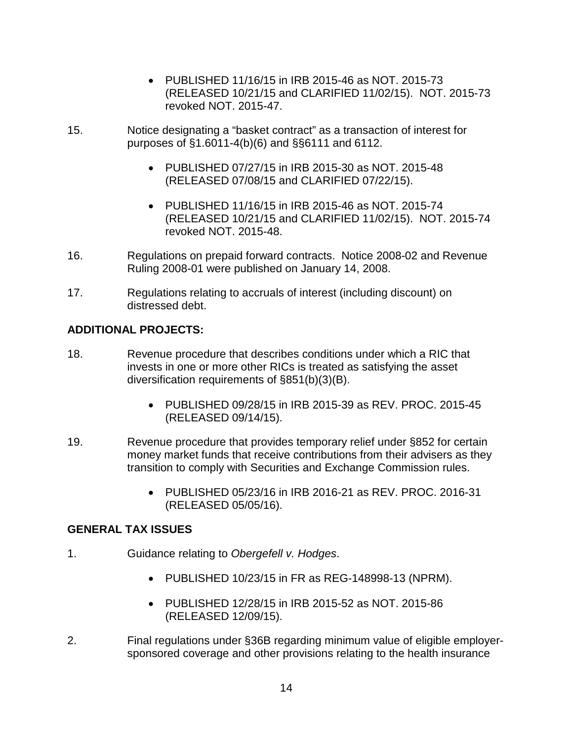- PUBLISHED 11/16/15 in IRB 2015-46 as NOT. 2015-73 (RELEASED 10/21/15 and CLARIFIED 11/02/15). NOT. 2015-73 revoked NOT. 2015-47.
- 15. Notice designating a "basket contract" as a transaction of interest for purposes of §1.6011-4(b)(6) and §§6111 and 6112.
	- PUBLISHED 07/27/15 in IRB 2015-30 as NOT. 2015-48 (RELEASED 07/08/15 and CLARIFIED 07/22/15).
	- PUBLISHED 11/16/15 in IRB 2015-46 as NOT. 2015-74 (RELEASED 10/21/15 and CLARIFIED 11/02/15). NOT. 2015-74 revoked NOT. 2015-48.
- 16. Regulations on prepaid forward contracts. Notice 2008-02 and Revenue Ruling 2008-01 were published on January 14, 2008.
- 17. Regulations relating to accruals of interest (including discount) on distressed debt.

# **ADDITIONAL PROJECTS:**

- 18. Revenue procedure that describes conditions under which a RIC that invests in one or more other RICs is treated as satisfying the asset diversification requirements of §851(b)(3)(B).
	- PUBLISHED 09/28/15 in IRB 2015-39 as REV. PROC. 2015-45 (RELEASED 09/14/15).
- 19. Revenue procedure that provides temporary relief under §852 for certain money market funds that receive contributions from their advisers as they transition to comply with Securities and Exchange Commission rules.
	- PUBLISHED 05/23/16 in IRB 2016-21 as REV. PROC. 2016-31 (RELEASED 05/05/16).

#### **GENERAL TAX ISSUES**

- 1. Guidance relating to *Obergefell v. Hodges*.
	- PUBLISHED 10/23/15 in FR as REG-148998-13 (NPRM).
	- PUBLISHED 12/28/15 in IRB 2015-52 as NOT. 2015-86 (RELEASED 12/09/15).
- 2. Final regulations under §36B regarding minimum value of eligible employersponsored coverage and other provisions relating to the health insurance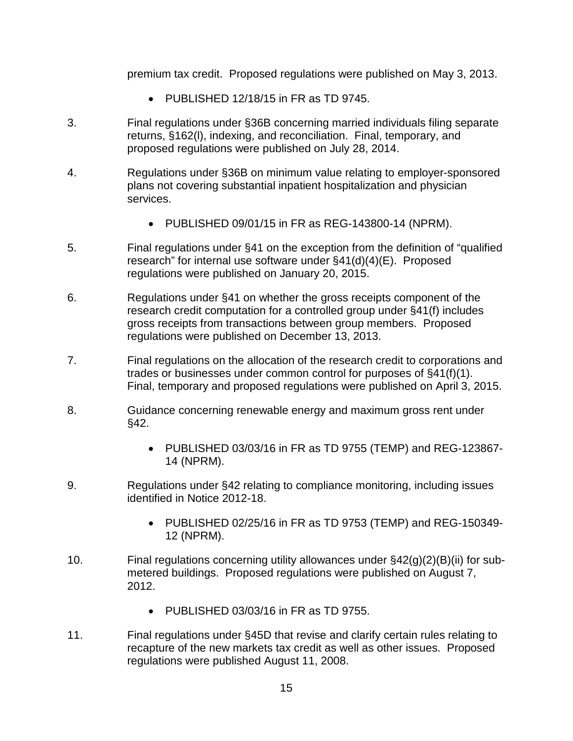premium tax credit. Proposed regulations were published on May 3, 2013.

- PUBLISHED 12/18/15 in FR as TD 9745.
- 3. Final regulations under §36B concerning married individuals filing separate returns, §162(l), indexing, and reconciliation. Final, temporary, and proposed regulations were published on July 28, 2014.
- 4. Regulations under §36B on minimum value relating to employer-sponsored plans not covering substantial inpatient hospitalization and physician services.
	- PUBLISHED 09/01/15 in FR as REG-143800-14 (NPRM).
- 5. Final regulations under §41 on the exception from the definition of "qualified research" for internal use software under §41(d)(4)(E). Proposed regulations were published on January 20, 2015.
- 6. Regulations under §41 on whether the gross receipts component of the research credit computation for a controlled group under §41(f) includes gross receipts from transactions between group members. Proposed regulations were published on December 13, 2013.
- 7. Final regulations on the allocation of the research credit to corporations and trades or businesses under common control for purposes of §41(f)(1). Final, temporary and proposed regulations were published on April 3, 2015.
- 8. Guidance concerning renewable energy and maximum gross rent under §42.
	- PUBLISHED 03/03/16 in FR as TD 9755 (TEMP) and REG-123867- 14 (NPRM).
- 9. Regulations under §42 relating to compliance monitoring, including issues identified in Notice 2012-18.
	- PUBLISHED 02/25/16 in FR as TD 9753 (TEMP) and REG-150349- 12 (NPRM).
- 10. Final regulations concerning utility allowances under §42(g)(2)(B)(ii) for submetered buildings. Proposed regulations were published on August 7, 2012.
	- PUBLISHED 03/03/16 in FR as TD 9755.
- 11. Final regulations under §45D that revise and clarify certain rules relating to recapture of the new markets tax credit as well as other issues. Proposed regulations were published August 11, 2008.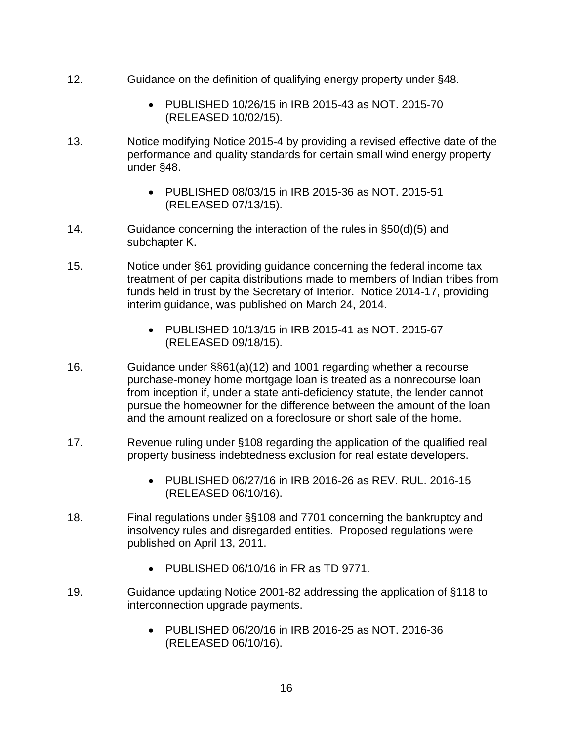- 12. Guidance on the definition of qualifying energy property under §48.
	- PUBLISHED 10/26/15 in IRB 2015-43 as NOT. 2015-70 (RELEASED 10/02/15).
- 13. Notice modifying Notice 2015-4 by providing a revised effective date of the performance and quality standards for certain small wind energy property under §48.
	- PUBLISHED 08/03/15 in IRB 2015-36 as NOT. 2015-51 (RELEASED 07/13/15).
- 14. Guidance concerning the interaction of the rules in §50(d)(5) and subchapter K.
- 15. Notice under §61 providing guidance concerning the federal income tax treatment of per capita distributions made to members of Indian tribes from funds held in trust by the Secretary of Interior. Notice 2014-17, providing interim guidance, was published on March 24, 2014.
	- PUBLISHED 10/13/15 in IRB 2015-41 as NOT. 2015-67 (RELEASED 09/18/15).
- 16. Guidance under §§61(a)(12) and 1001 regarding whether a recourse purchase-money home mortgage loan is treated as a nonrecourse loan from inception if, under a state anti-deficiency statute, the lender cannot pursue the homeowner for the difference between the amount of the loan and the amount realized on a foreclosure or short sale of the home.
- 17. Revenue ruling under §108 regarding the application of the qualified real property business indebtedness exclusion for real estate developers.
	- PUBLISHED 06/27/16 in IRB 2016-26 as REV. RUL. 2016-15 (RELEASED 06/10/16).
- 18. Final regulations under §§108 and 7701 concerning the bankruptcy and insolvency rules and disregarded entities. Proposed regulations were published on April 13, 2011.
	- PUBLISHED 06/10/16 in FR as TD 9771.
- 19. Guidance updating Notice 2001-82 addressing the application of §118 to interconnection upgrade payments.
	- PUBLISHED 06/20/16 in IRB 2016-25 as NOT. 2016-36 (RELEASED 06/10/16).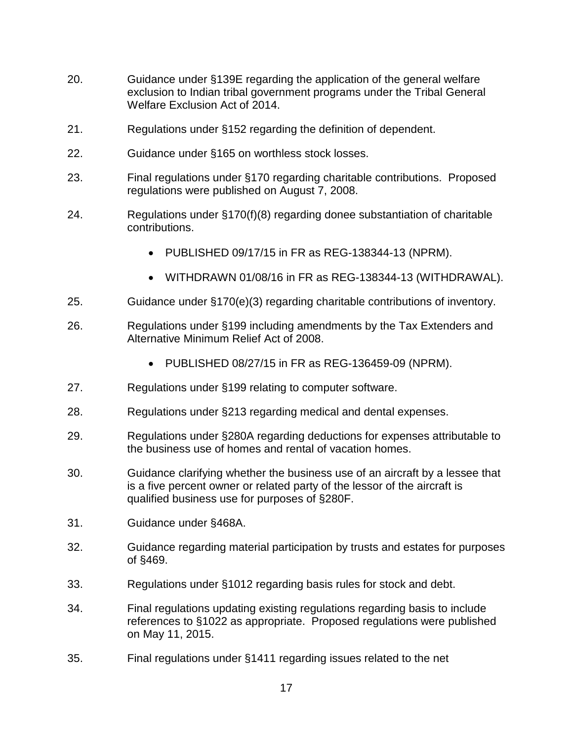- 20. Guidance under §139E regarding the application of the general welfare exclusion to Indian tribal government programs under the Tribal General Welfare Exclusion Act of 2014.
- 21. Regulations under §152 regarding the definition of dependent.
- 22. Guidance under §165 on worthless stock losses.
- 23. Final regulations under §170 regarding charitable contributions. Proposed regulations were published on August 7, 2008.
- 24. Regulations under §170(f)(8) regarding donee substantiation of charitable contributions.
	- PUBLISHED 09/17/15 in FR as REG-138344-13 (NPRM).
	- WITHDRAWN 01/08/16 in FR as REG-138344-13 (WITHDRAWAL).
- 25. Guidance under §170(e)(3) regarding charitable contributions of inventory.
- 26. Regulations under §199 including amendments by the Tax Extenders and Alternative Minimum Relief Act of 2008.
	- PUBLISHED 08/27/15 in FR as REG-136459-09 (NPRM).
- 27. Regulations under §199 relating to computer software.
- 28. Regulations under §213 regarding medical and dental expenses.
- 29. Regulations under §280A regarding deductions for expenses attributable to the business use of homes and rental of vacation homes.
- 30. Guidance clarifying whether the business use of an aircraft by a lessee that is a five percent owner or related party of the lessor of the aircraft is qualified business use for purposes of §280F.
- 31. Guidance under §468A.
- 32. Guidance regarding material participation by trusts and estates for purposes of §469.
- 33. Regulations under §1012 regarding basis rules for stock and debt.
- 34. Final regulations updating existing regulations regarding basis to include references to §1022 as appropriate. Proposed regulations were published on May 11, 2015.
- 35. Final regulations under §1411 regarding issues related to the net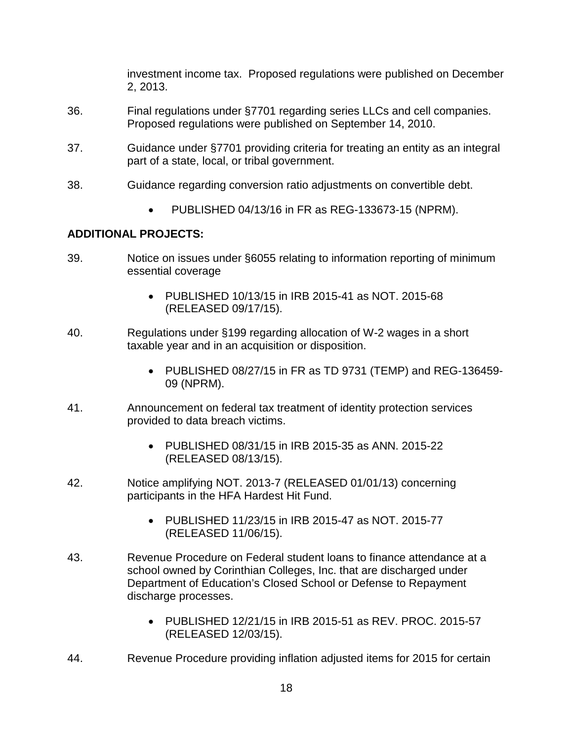investment income tax. Proposed regulations were published on December 2, 2013.

- 36. Final regulations under §7701 regarding series LLCs and cell companies. Proposed regulations were published on September 14, 2010.
- 37. Guidance under §7701 providing criteria for treating an entity as an integral part of a state, local, or tribal government.
- 38. Guidance regarding conversion ratio adjustments on convertible debt.
	- PUBLISHED 04/13/16 in FR as REG-133673-15 (NPRM).

#### **ADDITIONAL PROJECTS:**

- 39. Notice on issues under §6055 relating to information reporting of minimum essential coverage
	- PUBLISHED 10/13/15 in IRB 2015-41 as NOT. 2015-68 (RELEASED 09/17/15).
- 40. Regulations under §199 regarding allocation of W-2 wages in a short taxable year and in an acquisition or disposition.
	- PUBLISHED 08/27/15 in FR as TD 9731 (TEMP) and REG-136459- 09 (NPRM).
- 41. Announcement on federal tax treatment of identity protection services provided to data breach victims.
	- PUBLISHED 08/31/15 in IRB 2015-35 as ANN. 2015-22 (RELEASED 08/13/15).
- 42. Notice amplifying NOT. 2013-7 (RELEASED 01/01/13) concerning participants in the HFA Hardest Hit Fund.
	- PUBLISHED 11/23/15 in IRB 2015-47 as NOT. 2015-77 (RELEASED 11/06/15).
- 43. Revenue Procedure on Federal student loans to finance attendance at a school owned by Corinthian Colleges, Inc. that are discharged under Department of Education's Closed School or Defense to Repayment discharge processes.
	- PUBLISHED 12/21/15 in IRB 2015-51 as REV. PROC. 2015-57 (RELEASED 12/03/15).
- 44. Revenue Procedure providing inflation adjusted items for 2015 for certain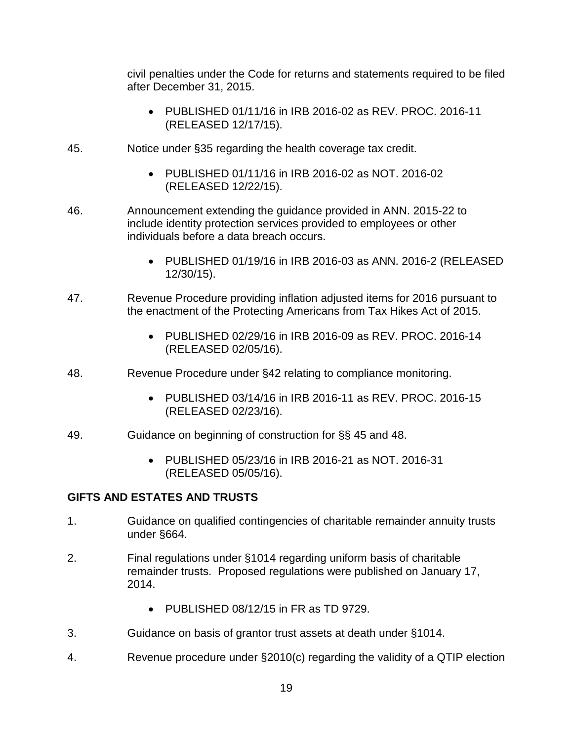civil penalties under the Code for returns and statements required to be filed after December 31, 2015.

- PUBLISHED 01/11/16 in IRB 2016-02 as REV. PROC. 2016-11 (RELEASED 12/17/15).
- 45. Notice under §35 regarding the health coverage tax credit.
	- PUBLISHED 01/11/16 in IRB 2016-02 as NOT. 2016-02 (RELEASED 12/22/15).
- 46. Announcement extending the guidance provided in ANN. 2015-22 to include identity protection services provided to employees or other individuals before a data breach occurs.
	- PUBLISHED 01/19/16 in IRB 2016-03 as ANN. 2016-2 (RELEASED 12/30/15).
- 47. Revenue Procedure providing inflation adjusted items for 2016 pursuant to the enactment of the Protecting Americans from Tax Hikes Act of 2015.
	- PUBLISHED 02/29/16 in IRB 2016-09 as REV. PROC. 2016-14 (RELEASED 02/05/16).
- 48. Revenue Procedure under §42 relating to compliance monitoring.
	- PUBLISHED 03/14/16 in IRB 2016-11 as REV. PROC. 2016-15 (RELEASED 02/23/16).
- 49. Guidance on beginning of construction for §§ 45 and 48.
	- PUBLISHED 05/23/16 in IRB 2016-21 as NOT. 2016-31 (RELEASED 05/05/16).

#### **GIFTS AND ESTATES AND TRUSTS**

- 1. Guidance on qualified contingencies of charitable remainder annuity trusts under §664.
- 2. Final regulations under §1014 regarding uniform basis of charitable remainder trusts. Proposed regulations were published on January 17, 2014.
	- PUBLISHED 08/12/15 in FR as TD 9729.
- 3. Guidance on basis of grantor trust assets at death under §1014.
- 4. Revenue procedure under §2010(c) regarding the validity of a QTIP election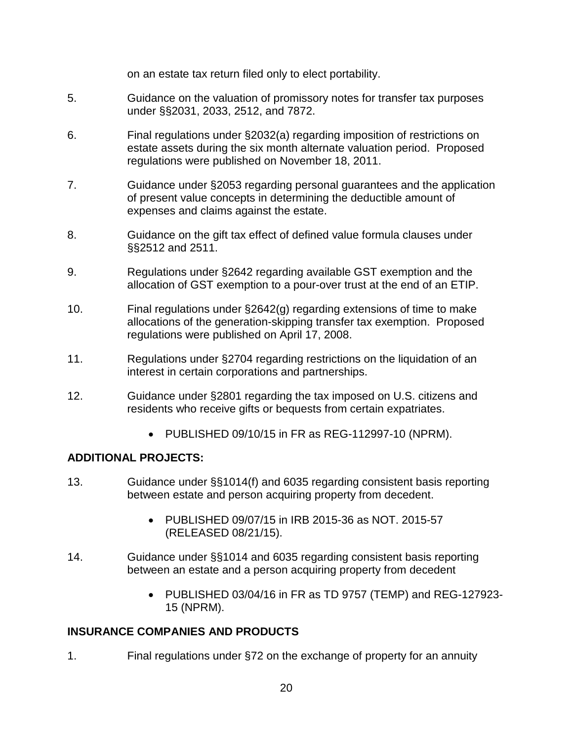on an estate tax return filed only to elect portability.

- 5. Guidance on the valuation of promissory notes for transfer tax purposes under §§2031, 2033, 2512, and 7872.
- 6. Final regulations under §2032(a) regarding imposition of restrictions on estate assets during the six month alternate valuation period. Proposed regulations were published on November 18, 2011.
- 7. Guidance under §2053 regarding personal guarantees and the application of present value concepts in determining the deductible amount of expenses and claims against the estate.
- 8. Guidance on the gift tax effect of defined value formula clauses under §§2512 and 2511.
- 9. Regulations under §2642 regarding available GST exemption and the allocation of GST exemption to a pour-over trust at the end of an ETIP.
- 10. Final regulations under §2642(g) regarding extensions of time to make allocations of the generation-skipping transfer tax exemption. Proposed regulations were published on April 17, 2008.
- 11. Regulations under §2704 regarding restrictions on the liquidation of an interest in certain corporations and partnerships.
- 12. Guidance under §2801 regarding the tax imposed on U.S. citizens and residents who receive gifts or bequests from certain expatriates.
	- PUBLISHED 09/10/15 in FR as REG-112997-10 (NPRM).

# **ADDITIONAL PROJECTS:**

- 13. Guidance under §§1014(f) and 6035 regarding consistent basis reporting between estate and person acquiring property from decedent.
	- PUBLISHED 09/07/15 in IRB 2015-36 as NOT. 2015-57 (RELEASED 08/21/15).
- 14. Guidance under §§1014 and 6035 regarding consistent basis reporting between an estate and a person acquiring property from decedent
	- PUBLISHED 03/04/16 in FR as TD 9757 (TEMP) and REG-127923- 15 (NPRM).

# **INSURANCE COMPANIES AND PRODUCTS**

1. Final regulations under §72 on the exchange of property for an annuity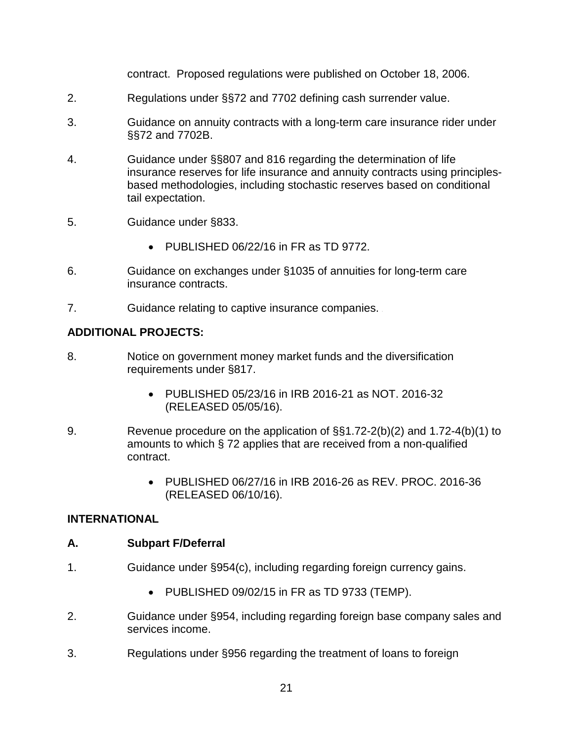contract. Proposed regulations were published on October 18, 2006.

- 2. Regulations under §§72 and 7702 defining cash surrender value.
- 3. Guidance on annuity contracts with a long-term care insurance rider under §§72 and 7702B.
- 4. Guidance under §§807 and 816 regarding the determination of life insurance reserves for life insurance and annuity contracts using principlesbased methodologies, including stochastic reserves based on conditional tail expectation.
- 5. Guidance under §833..
	- PUBLISHED 06/22/16 in FR as TD 9772.
- 6. Guidance on exchanges under §1035 of annuities for long-term care insurance contracts.
- 7. **Guidance relating to captive insurance companies.**

### **ADDITIONAL PROJECTS:**

- 8. Notice on government money market funds and the diversification requirements under §817.
	- PUBLISHED 05/23/16 in IRB 2016-21 as NOT. 2016-32 (RELEASED 05/05/16).
- 9. Revenue procedure on the application of §§1.72-2(b)(2) and 1.72-4(b)(1) to amounts to which § 72 applies that are received from a non-qualified contract.
	- PUBLISHED 06/27/16 in IRB 2016-26 as REV. PROC. 2016-36 (RELEASED 06/10/16).

#### **INTERNATIONAL**

#### **A. Subpart F/Deferral**

- 1. Guidance under §954(c), including regarding foreign currency gains.
	- PUBLISHED 09/02/15 in FR as TD 9733 (TEMP).
- 2. Guidance under §954, including regarding foreign base company sales and services income.
- 3. Regulations under §956 regarding the treatment of loans to foreign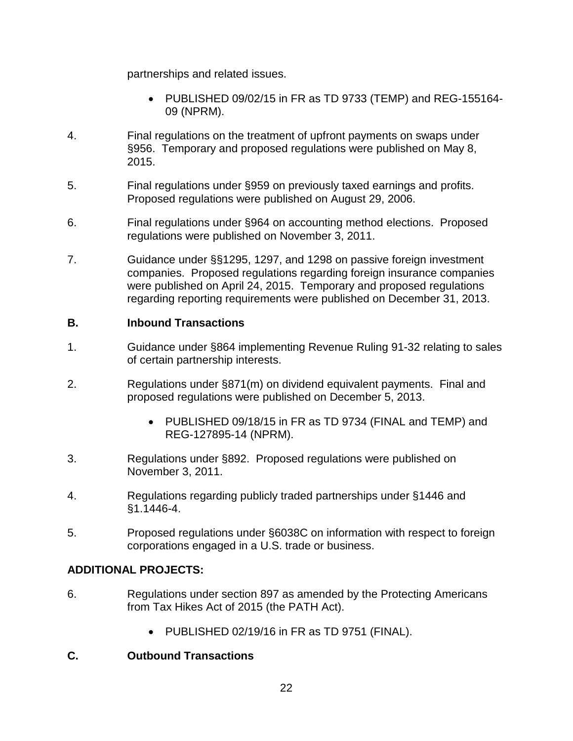partnerships and related issues.

- PUBLISHED 09/02/15 in FR as TD 9733 (TEMP) and REG-155164- 09 (NPRM).
- 4. Final regulations on the treatment of upfront payments on swaps under §956. Temporary and proposed regulations were published on May 8, 2015.
- 5. Final regulations under §959 on previously taxed earnings and profits. Proposed regulations were published on August 29, 2006.
- 6. Final regulations under §964 on accounting method elections. Proposed regulations were published on November 3, 2011.
- 7. Guidance under §§1295, 1297, and 1298 on passive foreign investment companies. Proposed regulations regarding foreign insurance companies were published on April 24, 2015. Temporary and proposed regulations regarding reporting requirements were published on December 31, 2013.

#### **B. Inbound Transactions**

- 1. Guidance under §864 implementing Revenue Ruling 91-32 relating to sales of certain partnership interests.
- 2. Regulations under §871(m) on dividend equivalent payments. Final and proposed regulations were published on December 5, 2013.
	- PUBLISHED 09/18/15 in FR as TD 9734 (FINAL and TEMP) and REG-127895-14 (NPRM).
- 3. Regulations under §892. Proposed regulations were published on November 3, 2011.
- 4. Regulations regarding publicly traded partnerships under §1446 and §1.1446-4.
- 5. Proposed regulations under §6038C on information with respect to foreign corporations engaged in a U.S. trade or business.

# **ADDITIONAL PROJECTS:**

- 6. Regulations under section 897 as amended by the Protecting Americans from Tax Hikes Act of 2015 (the PATH Act).
	- PUBLISHED 02/19/16 in FR as TD 9751 (FINAL).

# **C. Outbound Transactions**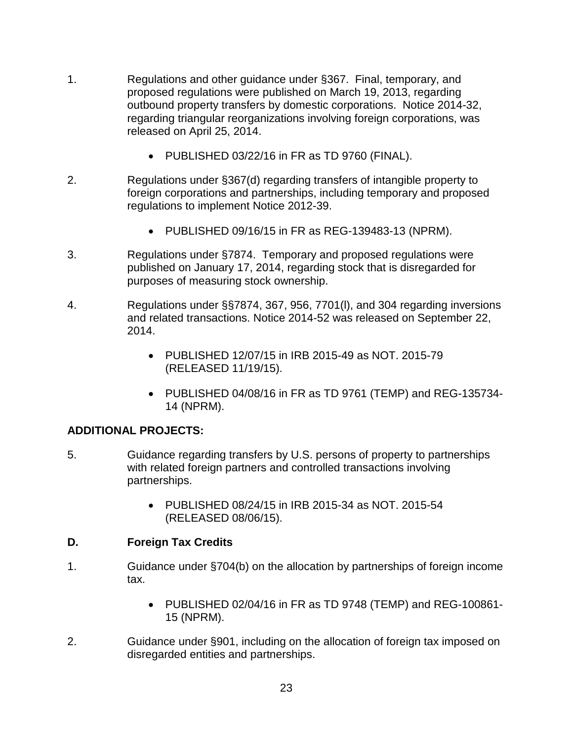- 1. Regulations and other guidance under §367. Final, temporary, and proposed regulations were published on March 19, 2013, regarding outbound property transfers by domestic corporations. Notice 2014-32, regarding triangular reorganizations involving foreign corporations, was released on April 25, 2014.
	- PUBLISHED 03/22/16 in FR as TD 9760 (FINAL).
- 2. Regulations under §367(d) regarding transfers of intangible property to foreign corporations and partnerships, including temporary and proposed regulations to implement Notice 2012-39.
	- PUBLISHED 09/16/15 in FR as REG-139483-13 (NPRM).
- 3. Regulations under §7874. Temporary and proposed regulations were published on January 17, 2014, regarding stock that is disregarded for purposes of measuring stock ownership.
- 4. Regulations under §§7874, 367, 956, 7701(l), and 304 regarding inversions and related transactions. Notice 2014-52 was released on September 22, 2014.
	- PUBLISHED 12/07/15 in IRB 2015-49 as NOT. 2015-79 (RELEASED 11/19/15).
	- PUBLISHED 04/08/16 in FR as TD 9761 (TEMP) and REG-135734- 14 (NPRM).

#### **ADDITIONAL PROJECTS:**

- 5. Guidance regarding transfers by U.S. persons of property to partnerships with related foreign partners and controlled transactions involving partnerships.
	- PUBLISHED 08/24/15 in IRB 2015-34 as NOT. 2015-54 (RELEASED 08/06/15).

#### **D. Foreign Tax Credits**

- 1. Guidance under §704(b) on the allocation by partnerships of foreign income tax.
	- PUBLISHED 02/04/16 in FR as TD 9748 (TEMP) and REG-100861- 15 (NPRM).
- 2. Guidance under §901, including on the allocation of foreign tax imposed on disregarded entities and partnerships.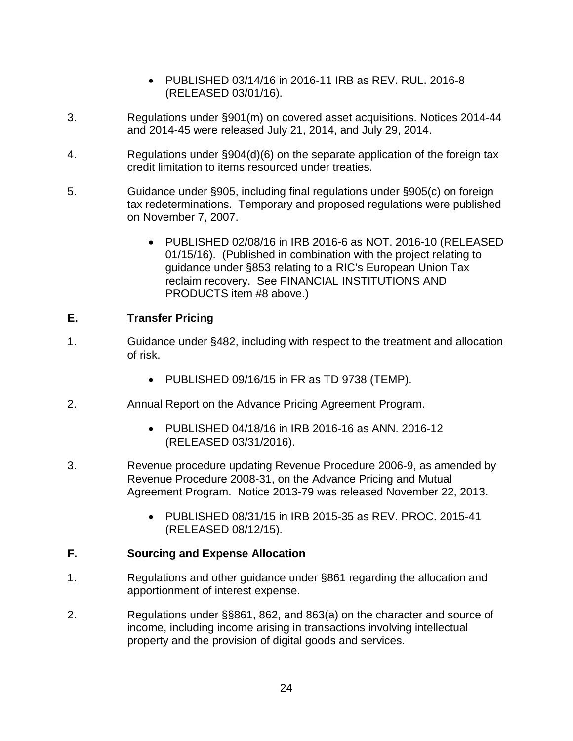- PUBLISHED 03/14/16 in 2016-11 IRB as REV. RUL. 2016-8 (RELEASED 03/01/16).
- 3. Regulations under §901(m) on covered asset acquisitions. Notices 2014-44 and 2014-45 were released July 21, 2014, and July 29, 2014.
- 4. Regulations under §904(d)(6) on the separate application of the foreign tax credit limitation to items resourced under treaties.
- 5. Guidance under §905, including final regulations under §905(c) on foreign tax redeterminations. Temporary and proposed regulations were published on November 7, 2007.
	- PUBLISHED 02/08/16 in IRB 2016-6 as NOT. 2016-10 (RELEASED 01/15/16). (Published in combination with the project relating to guidance under §853 relating to a RIC's European Union Tax reclaim recovery. See FINANCIAL INSTITUTIONS AND PRODUCTS item #8 above.)

### **E. Transfer Pricing**

- 1. Guidance under §482, including with respect to the treatment and allocation of risk.
	- PUBLISHED 09/16/15 in FR as TD 9738 (TEMP).
- 2. Annual Report on the Advance Pricing Agreement Program.
	- PUBLISHED 04/18/16 in IRB 2016-16 as ANN. 2016-12 (RELEASED 03/31/2016).
- 3. Revenue procedure updating Revenue Procedure 2006-9, as amended by Revenue Procedure 2008-31, on the Advance Pricing and Mutual Agreement Program. Notice 2013-79 was released November 22, 2013.
	- PUBLISHED 08/31/15 in IRB 2015-35 as REV. PROC. 2015-41 (RELEASED 08/12/15).

# **F. Sourcing and Expense Allocation**

- 1. Regulations and other guidance under §861 regarding the allocation and apportionment of interest expense.
- 2. Regulations under §§861, 862, and 863(a) on the character and source of income, including income arising in transactions involving intellectual property and the provision of digital goods and services.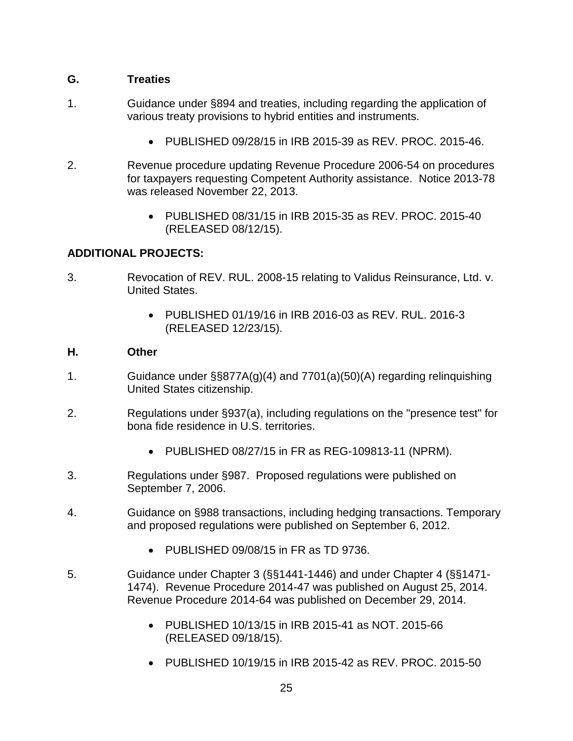# **G. Treaties**

- 1. Guidance under §894 and treaties, including regarding the application of various treaty provisions to hybrid entities and instruments.
	- PUBLISHED 09/28/15 in IRB 2015-39 as REV. PROC. 2015-46.
- 2. Revenue procedure updating Revenue Procedure 2006-54 on procedures for taxpayers requesting Competent Authority assistance. Notice 2013-78 was released November 22, 2013.
	- PUBLISHED 08/31/15 in IRB 2015-35 as REV. PROC. 2015-40 (RELEASED 08/12/15).

# **ADDITIONAL PROJECTS:**

- 3. Revocation of REV. RUL. 2008-15 relating to Validus Reinsurance, Ltd. v. United States.
	- PUBLISHED 01/19/16 in IRB 2016-03 as REV. RUL. 2016-3 (RELEASED 12/23/15).

#### **H. Other**

- 1. Guidance under §§877A(g)(4) and 7701(a)(50)(A) regarding relinquishing United States citizenship.
- 2. Regulations under §937(a), including regulations on the "presence test" for bona fide residence in U.S. territories.
	- PUBLISHED 08/27/15 in FR as REG-109813-11 (NPRM).
- 3. Regulations under §987. Proposed regulations were published on September 7, 2006.
- 4. Guidance on §988 transactions, including hedging transactions. Temporary and proposed regulations were published on September 6, 2012.
	- PUBLISHED 09/08/15 in FR as TD 9736.
- 5. Guidance under Chapter 3 (§§1441-1446) and under Chapter 4 (§§1471- 1474). Revenue Procedure 2014-47 was published on August 25, 2014. Revenue Procedure 2014-64 was published on December 29, 2014.
	- PUBLISHED 10/13/15 in IRB 2015-41 as NOT. 2015-66 (RELEASED 09/18/15).
	- PUBLISHED 10/19/15 in IRB 2015-42 as REV. PROC. 2015-50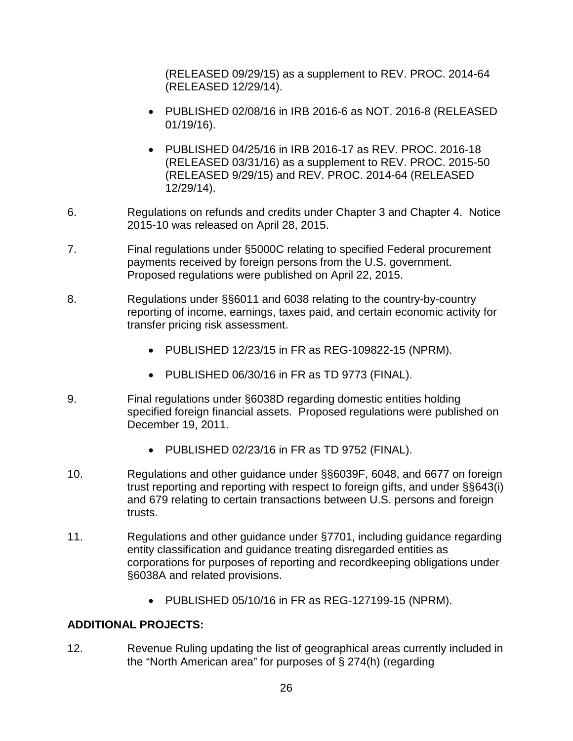(RELEASED 09/29/15) as a supplement to REV. PROC. 2014-64 (RELEASED 12/29/14).

- PUBLISHED 02/08/16 in IRB 2016-6 as NOT. 2016-8 (RELEASED 01/19/16).
- PUBLISHED 04/25/16 in IRB 2016-17 as REV. PROC. 2016-18 (RELEASED 03/31/16) as a supplement to REV. PROC. 2015-50 (RELEASED 9/29/15) and REV. PROC. 2014-64 (RELEASED 12/29/14).
- 6. Regulations on refunds and credits under Chapter 3 and Chapter 4. Notice 2015-10 was released on April 28, 2015.
- 7. Final regulations under §5000C relating to specified Federal procurement payments received by foreign persons from the U.S. government. Proposed regulations were published on April 22, 2015.
- 8. Regulations under §§6011 and 6038 relating to the country-by-country reporting of income, earnings, taxes paid, and certain economic activity for transfer pricing risk assessment.
	- PUBLISHED 12/23/15 in FR as REG-109822-15 (NPRM).
	- PUBLISHED 06/30/16 in FR as TD 9773 (FINAL).
- 9. Final regulations under §6038D regarding domestic entities holding specified foreign financial assets. Proposed regulations were published on December 19, 2011.
	- PUBLISHED 02/23/16 in FR as TD 9752 (FINAL).
- 10. Regulations and other guidance under §§6039F, 6048, and 6677 on foreign trust reporting and reporting with respect to foreign gifts, and under §§643(i) and 679 relating to certain transactions between U.S. persons and foreign trusts.
- 11. Regulations and other guidance under §7701, including guidance regarding entity classification and guidance treating disregarded entities as corporations for purposes of reporting and recordkeeping obligations under §6038A and related provisions.
	- PUBLISHED 05/10/16 in FR as REG-127199-15 (NPRM).

# **ADDITIONAL PROJECTS:**

12. Revenue Ruling updating the list of geographical areas currently included in the "North American area" for purposes of § 274(h) (regarding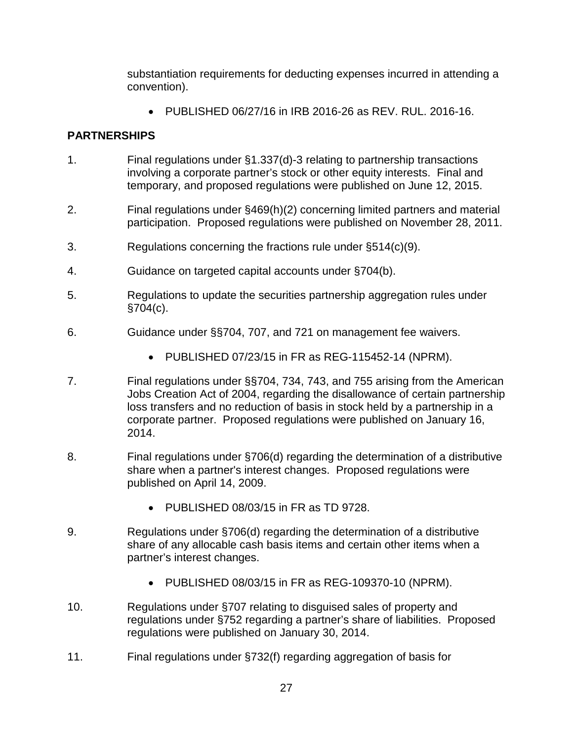substantiation requirements for deducting expenses incurred in attending a convention).

• PUBLISHED 06/27/16 in IRB 2016-26 as REV. RUL. 2016-16.

# **PARTNERSHIPS**

- 1. Final regulations under §1.337(d)-3 relating to partnership transactions involving a corporate partner's stock or other equity interests. Final and temporary, and proposed regulations were published on June 12, 2015.
- 2. Final regulations under §469(h)(2) concerning limited partners and material participation. Proposed regulations were published on November 28, 2011.
- 3. Regulations concerning the fractions rule under §514(c)(9).
- 4. Guidance on targeted capital accounts under §704(b).
- 5. Regulations to update the securities partnership aggregation rules under §704(c).
- 6. Guidance under §§704, 707, and 721 on management fee waivers.
	- PUBLISHED 07/23/15 in FR as REG-115452-14 (NPRM).
- 7. Final regulations under §§704, 734, 743, and 755 arising from the American Jobs Creation Act of 2004, regarding the disallowance of certain partnership loss transfers and no reduction of basis in stock held by a partnership in a corporate partner. Proposed regulations were published on January 16, 2014.
- 8. Final regulations under §706(d) regarding the determination of a distributive share when a partner's interest changes. Proposed regulations were published on April 14, 2009.
	- PUBLISHED 08/03/15 in FR as TD 9728.
- 9. Regulations under §706(d) regarding the determination of a distributive share of any allocable cash basis items and certain other items when a partner's interest changes.
	- PUBLISHED 08/03/15 in FR as REG-109370-10 (NPRM).
- 10. Regulations under §707 relating to disguised sales of property and regulations under §752 regarding a partner's share of liabilities. Proposed regulations were published on January 30, 2014.
- 11. Final regulations under §732(f) regarding aggregation of basis for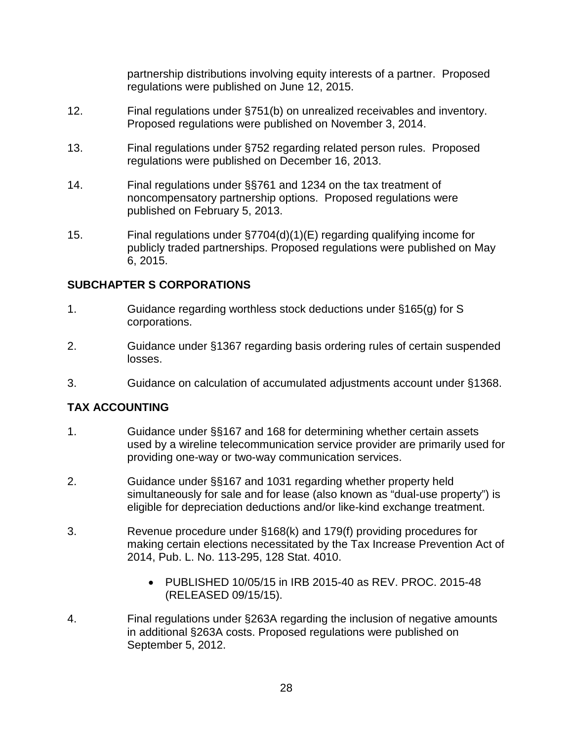partnership distributions involving equity interests of a partner. Proposed regulations were published on June 12, 2015.

- 12. Final regulations under §751(b) on unrealized receivables and inventory. Proposed regulations were published on November 3, 2014.
- 13. Final regulations under §752 regarding related person rules. Proposed regulations were published on December 16, 2013.
- 14. Final regulations under §§761 and 1234 on the tax treatment of noncompensatory partnership options. Proposed regulations were published on February 5, 2013.
- 15. Final regulations under §7704(d)(1)(E) regarding qualifying income for publicly traded partnerships. Proposed regulations were published on May 6, 2015.

# **SUBCHAPTER S CORPORATIONS**

- 1. Guidance regarding worthless stock deductions under §165(g) for S corporations.
- 2. Guidance under §1367 regarding basis ordering rules of certain suspended losses.
- 3. Guidance on calculation of accumulated adjustments account under §1368.

# **TAX ACCOUNTING**

- 1. Guidance under §§167 and 168 for determining whether certain assets used by a wireline telecommunication service provider are primarily used for providing one-way or two-way communication services.
- 2. Guidance under §§167 and 1031 regarding whether property held simultaneously for sale and for lease (also known as "dual-use property") is eligible for depreciation deductions and/or like-kind exchange treatment.
- 3. Revenue procedure under §168(k) and 179(f) providing procedures for making certain elections necessitated by the Tax Increase Prevention Act of 2014, Pub. L. No. 113-295, 128 Stat. 4010.
	- PUBLISHED 10/05/15 in IRB 2015-40 as REV. PROC. 2015-48 (RELEASED 09/15/15).
- 4. Final regulations under §263A regarding the inclusion of negative amounts in additional §263A costs. Proposed regulations were published on September 5, 2012.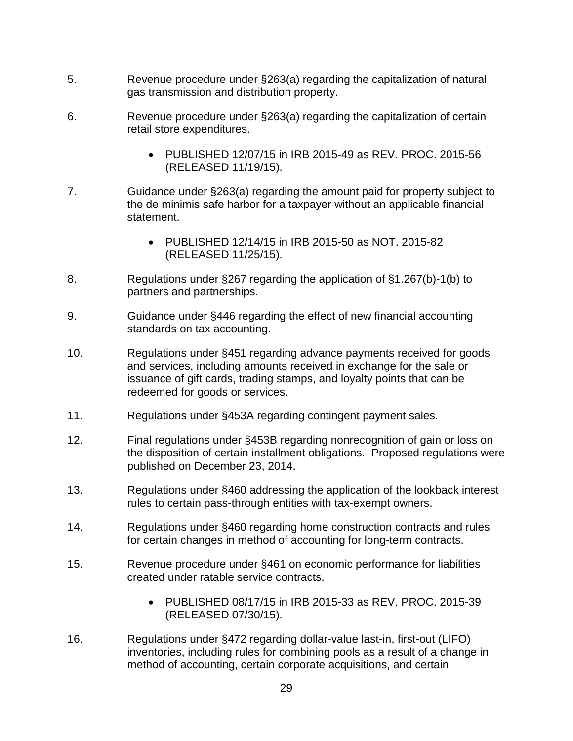- 5. Revenue procedure under §263(a) regarding the capitalization of natural gas transmission and distribution property.
- 6. Revenue procedure under §263(a) regarding the capitalization of certain retail store expenditures.
	- PUBLISHED 12/07/15 in IRB 2015-49 as REV. PROC. 2015-56 (RELEASED 11/19/15).
- 7. Guidance under §263(a) regarding the amount paid for property subject to the de minimis safe harbor for a taxpayer without an applicable financial statement.
	- PUBLISHED 12/14/15 in IRB 2015-50 as NOT. 2015-82 (RELEASED 11/25/15).
- 8. Regulations under §267 regarding the application of §1.267(b)-1(b) to partners and partnerships.
- 9. Guidance under §446 regarding the effect of new financial accounting standards on tax accounting.
- 10. Regulations under §451 regarding advance payments received for goods and services, including amounts received in exchange for the sale or issuance of gift cards, trading stamps, and loyalty points that can be redeemed for goods or services.
- 11. Regulations under §453A regarding contingent payment sales.
- 12. Final regulations under §453B regarding nonrecognition of gain or loss on the disposition of certain installment obligations. Proposed regulations were published on December 23, 2014.
- 13. Regulations under §460 addressing the application of the lookback interest rules to certain pass-through entities with tax-exempt owners.
- 14. Regulations under §460 regarding home construction contracts and rules for certain changes in method of accounting for long-term contracts.
- 15. Revenue procedure under §461 on economic performance for liabilities created under ratable service contracts.
	- PUBLISHED 08/17/15 in IRB 2015-33 as REV. PROC. 2015-39 (RELEASED 07/30/15).
- 16. Regulations under §472 regarding dollar-value last-in, first-out (LIFO) inventories, including rules for combining pools as a result of a change in method of accounting, certain corporate acquisitions, and certain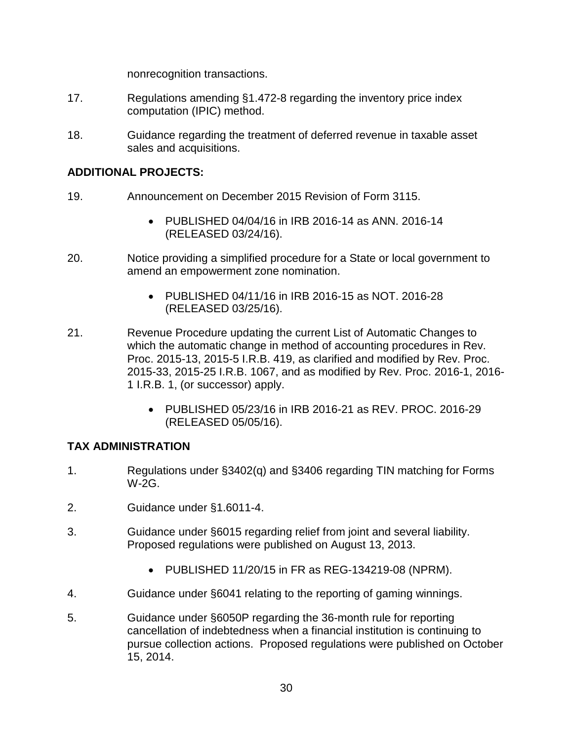nonrecognition transactions.

- 17. Regulations amending §1.472-8 regarding the inventory price index computation (IPIC) method.
- 18. Guidance regarding the treatment of deferred revenue in taxable asset sales and acquisitions.

### **ADDITIONAL PROJECTS:**

- 19. Announcement on December 2015 Revision of Form 3115.
	- PUBLISHED 04/04/16 in IRB 2016-14 as ANN. 2016-14 (RELEASED 03/24/16).
- 20. Notice providing a simplified procedure for a State or local government to amend an empowerment zone nomination.
	- PUBLISHED 04/11/16 in IRB 2016-15 as NOT. 2016-28 (RELEASED 03/25/16).
- 21. Revenue Procedure updating the current List of Automatic Changes to which the automatic change in method of accounting procedures in Rev. Proc. 2015-13, 2015-5 I.R.B. 419, as clarified and modified by Rev. Proc. 2015-33, 2015-25 I.R.B. 1067, and as modified by Rev. Proc. 2016-1, 2016- 1 I.R.B. 1, (or successor) apply.
	- PUBLISHED 05/23/16 in IRB 2016-21 as REV. PROC. 2016-29 (RELEASED 05/05/16).

# **TAX ADMINISTRATION**

- 1. Regulations under §3402(q) and §3406 regarding TIN matching for Forms W-2G.
- 2. Guidance under §1.6011-4.
- 3. Guidance under §6015 regarding relief from joint and several liability. Proposed regulations were published on August 13, 2013.
	- PUBLISHED 11/20/15 in FR as REG-134219-08 (NPRM).
- 4. Guidance under §6041 relating to the reporting of gaming winnings.
- 5. Guidance under §6050P regarding the 36-month rule for reporting cancellation of indebtedness when a financial institution is continuing to pursue collection actions. Proposed regulations were published on October 15, 2014.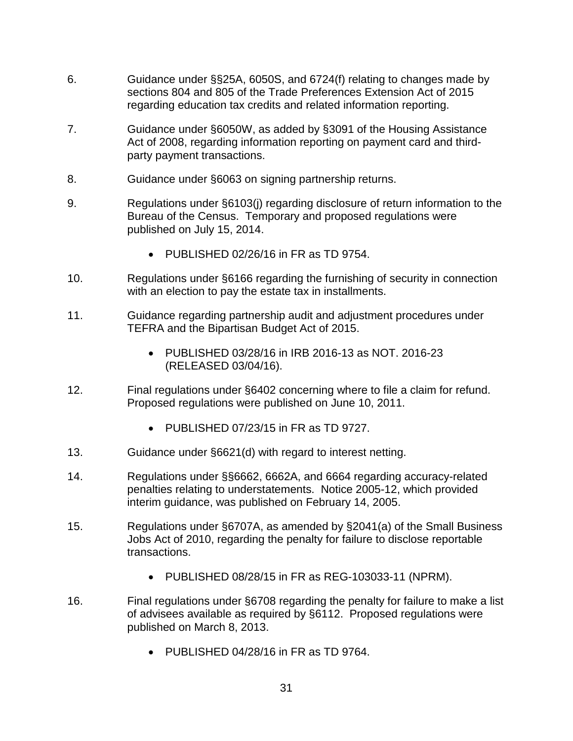- 6. Guidance under §§25A, 6050S, and 6724(f) relating to changes made by sections 804 and 805 of the Trade Preferences Extension Act of 2015 regarding education tax credits and related information reporting.
- 7. Guidance under §6050W, as added by §3091 of the Housing Assistance Act of 2008, regarding information reporting on payment card and thirdparty payment transactions.
- 8. Guidance under §6063 on signing partnership returns.
- 9. Regulations under §6103(j) regarding disclosure of return information to the Bureau of the Census. Temporary and proposed regulations were published on July 15, 2014.
	- PUBLISHED 02/26/16 in FR as TD 9754.
- 10. Regulations under §6166 regarding the furnishing of security in connection with an election to pay the estate tax in installments.
- 11. Guidance regarding partnership audit and adjustment procedures under TEFRA and the Bipartisan Budget Act of 2015.
	- PUBLISHED 03/28/16 in IRB 2016-13 as NOT. 2016-23 (RELEASED 03/04/16).
- 12. Final regulations under §6402 concerning where to file a claim for refund. Proposed regulations were published on June 10, 2011.
	- PUBLISHED 07/23/15 in FR as TD 9727.
- 13. Guidance under §6621(d) with regard to interest netting.
- 14. Regulations under §§6662, 6662A, and 6664 regarding accuracy-related penalties relating to understatements. Notice 2005-12, which provided interim guidance, was published on February 14, 2005.
- 15. Regulations under §6707A, as amended by §2041(a) of the Small Business Jobs Act of 2010, regarding the penalty for failure to disclose reportable transactions.
	- PUBLISHED 08/28/15 in FR as REG-103033-11 (NPRM).
- 16. Final regulations under §6708 regarding the penalty for failure to make a list of advisees available as required by §6112. Proposed regulations were published on March 8, 2013.
	- PUBLISHED 04/28/16 in FR as TD 9764.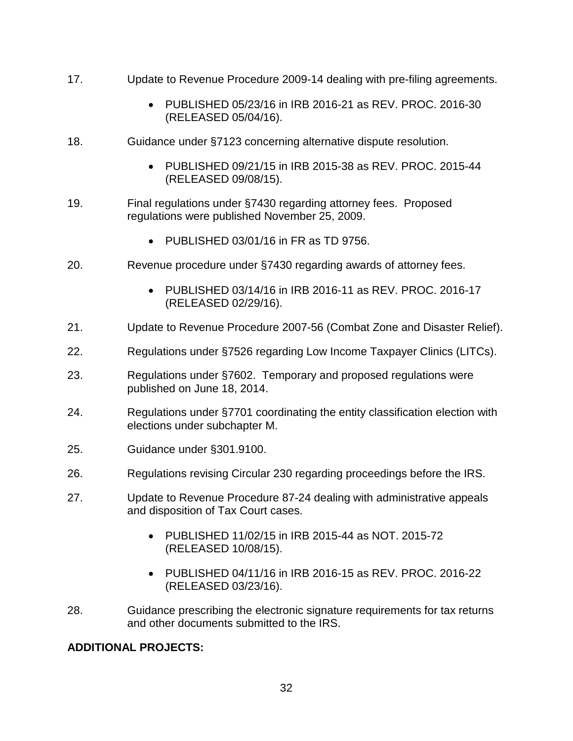- 17. Update to Revenue Procedure 2009-14 dealing with pre-filing agreements.
	- PUBLISHED 05/23/16 in IRB 2016-21 as REV. PROC. 2016-30 (RELEASED 05/04/16).
- 18. Guidance under §7123 concerning alternative dispute resolution.
	- PUBLISHED 09/21/15 in IRB 2015-38 as REV. PROC. 2015-44 (RELEASED 09/08/15).
- 19. Final regulations under §7430 regarding attorney fees. Proposed regulations were published November 25, 2009.
	- PUBLISHED 03/01/16 in FR as TD 9756.
- 20. Revenue procedure under §7430 regarding awards of attorney fees.
	- PUBLISHED 03/14/16 in IRB 2016-11 as REV. PROC. 2016-17 (RELEASED 02/29/16).
- 21. Update to Revenue Procedure 2007-56 (Combat Zone and Disaster Relief).
- 22. Regulations under §7526 regarding Low Income Taxpayer Clinics (LITCs).
- 23. Regulations under §7602. Temporary and proposed regulations were published on June 18, 2014.
- 24. Regulations under §7701 coordinating the entity classification election with elections under subchapter M.
- 25. Guidance under §301.9100.
- 26. Regulations revising Circular 230 regarding proceedings before the IRS.
- 27. Update to Revenue Procedure 87-24 dealing with administrative appeals and disposition of Tax Court cases.
	- PUBLISHED 11/02/15 in IRB 2015-44 as NOT. 2015-72 (RELEASED 10/08/15).
	- PUBLISHED 04/11/16 in IRB 2016-15 as REV. PROC. 2016-22 (RELEASED 03/23/16).
- 28. Guidance prescribing the electronic signature requirements for tax returns and other documents submitted to the IRS.

# **ADDITIONAL PROJECTS:**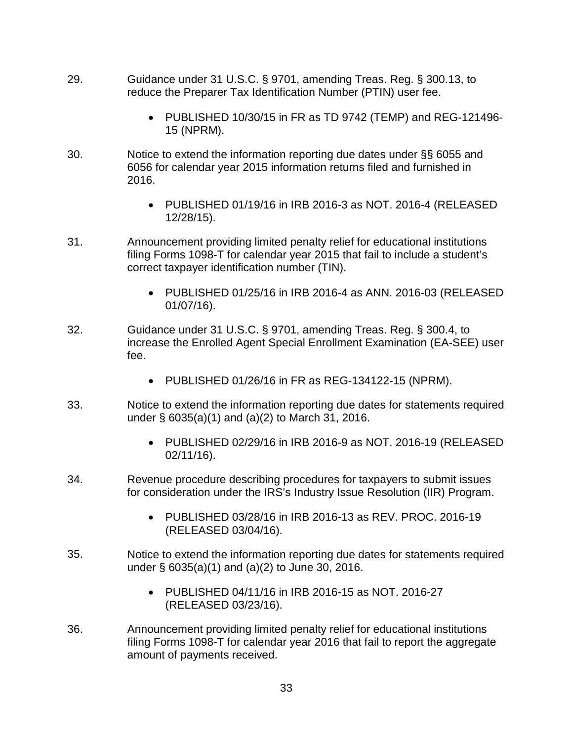- 29. Guidance under 31 U.S.C. § 9701, amending Treas. Reg. § 300.13, to reduce the Preparer Tax Identification Number (PTIN) user fee.
	- PUBLISHED 10/30/15 in FR as TD 9742 (TEMP) and REG-121496- 15 (NPRM).
- 30. Notice to extend the information reporting due dates under §§ 6055 and 6056 for calendar year 2015 information returns filed and furnished in 2016.
	- PUBLISHED 01/19/16 in IRB 2016-3 as NOT. 2016-4 (RELEASED 12/28/15).
- 31. Announcement providing limited penalty relief for educational institutions filing Forms 1098-T for calendar year 2015 that fail to include a student's correct taxpayer identification number (TIN).
	- PUBLISHED 01/25/16 in IRB 2016-4 as ANN. 2016-03 (RELEASED 01/07/16).
- 32. Guidance under 31 U.S.C. § 9701, amending Treas. Reg. § 300.4, to increase the Enrolled Agent Special Enrollment Examination (EA-SEE) user fee.
	- PUBLISHED 01/26/16 in FR as REG-134122-15 (NPRM).
- 33. Notice to extend the information reporting due dates for statements required under § 6035(a)(1) and (a)(2) to March 31, 2016.
	- PUBLISHED 02/29/16 in IRB 2016-9 as NOT. 2016-19 (RELEASED 02/11/16).
- 34. Revenue procedure describing procedures for taxpayers to submit issues for consideration under the IRS's Industry Issue Resolution (IIR) Program.
	- PUBLISHED 03/28/16 in IRB 2016-13 as REV. PROC. 2016-19 (RELEASED 03/04/16).
- 35. Notice to extend the information reporting due dates for statements required under § 6035(a)(1) and (a)(2) to June 30, 2016.
	- PUBLISHED 04/11/16 in IRB 2016-15 as NOT. 2016-27 (RELEASED 03/23/16).
- 36. Announcement providing limited penalty relief for educational institutions filing Forms 1098-T for calendar year 2016 that fail to report the aggregate amount of payments received.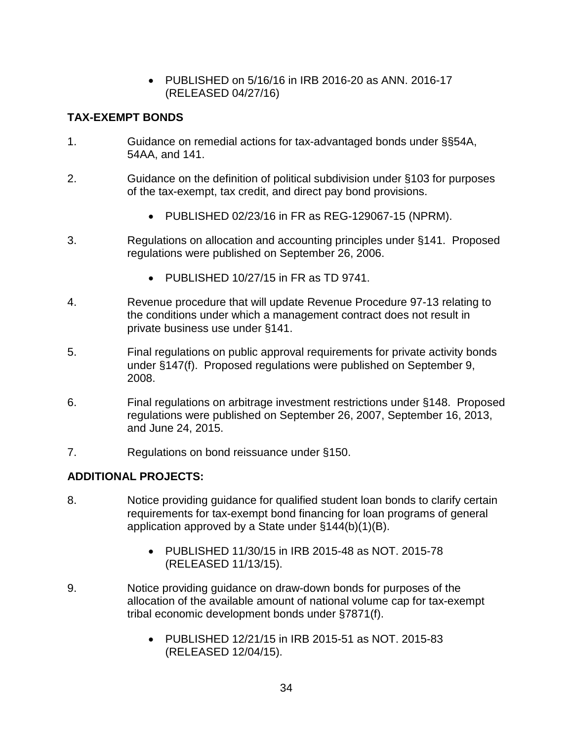• PUBLISHED on 5/16/16 in IRB 2016-20 as ANN. 2016-17 (RELEASED 04/27/16)

### **TAX-EXEMPT BONDS**

- 1. Guidance on remedial actions for tax-advantaged bonds under §§54A, 54AA, and 141.
- 2. Guidance on the definition of political subdivision under §103 for purposes of the tax-exempt, tax credit, and direct pay bond provisions.
	- PUBLISHED 02/23/16 in FR as REG-129067-15 (NPRM).
- 3. Regulations on allocation and accounting principles under §141. Proposed regulations were published on September 26, 2006.
	- PUBLISHED 10/27/15 in FR as TD 9741.
- 4. Revenue procedure that will update Revenue Procedure 97-13 relating to the conditions under which a management contract does not result in private business use under §141.
- 5. Final regulations on public approval requirements for private activity bonds under §147(f). Proposed regulations were published on September 9, 2008.
- 6. Final regulations on arbitrage investment restrictions under §148. Proposed regulations were published on September 26, 2007, September 16, 2013, and June 24, 2015.
- 7. Regulations on bond reissuance under §150.

# **ADDITIONAL PROJECTS:**

- 8. Notice providing guidance for qualified student loan bonds to clarify certain requirements for tax-exempt bond financing for loan programs of general application approved by a State under §144(b)(1)(B).
	- PUBLISHED 11/30/15 in IRB 2015-48 as NOT. 2015-78 (RELEASED 11/13/15).
- 9. Notice providing guidance on draw-down bonds for purposes of the allocation of the available amount of national volume cap for tax-exempt tribal economic development bonds under §7871(f).
	- PUBLISHED 12/21/15 in IRB 2015-51 as NOT. 2015-83 (RELEASED 12/04/15).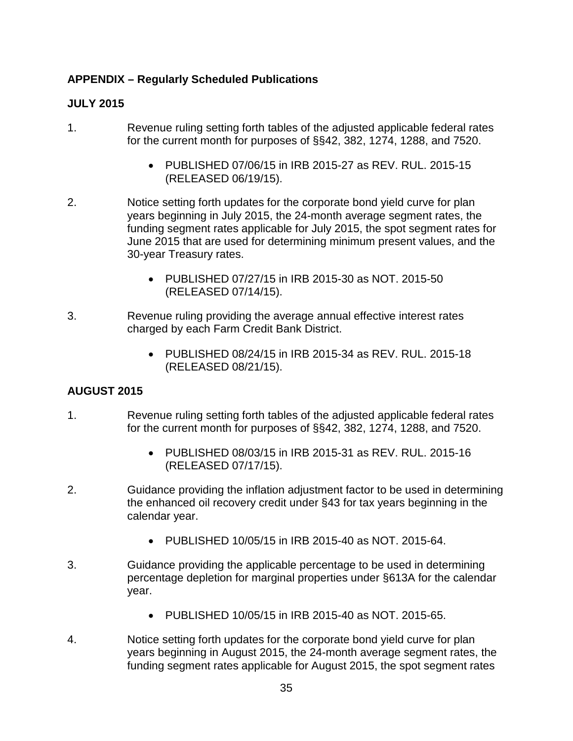# **APPENDIX – Regularly Scheduled Publications**

### **JULY 2015**

- 1. Revenue ruling setting forth tables of the adjusted applicable federal rates for the current month for purposes of §§42, 382, 1274, 1288, and 7520.
	- PUBLISHED 07/06/15 in IRB 2015-27 as REV. RUL. 2015-15 (RELEASED 06/19/15).
- 2. Notice setting forth updates for the corporate bond yield curve for plan years beginning in July 2015, the 24-month average segment rates, the funding segment rates applicable for July 2015, the spot segment rates for June 2015 that are used for determining minimum present values, and the 30-year Treasury rates.
	- PUBLISHED 07/27/15 in IRB 2015-30 as NOT. 2015-50 (RELEASED 07/14/15).
- 3. Revenue ruling providing the average annual effective interest rates charged by each Farm Credit Bank District.
	- PUBLISHED 08/24/15 in IRB 2015-34 as REV. RUL. 2015-18 (RELEASED 08/21/15).

# **AUGUST 2015**

- 1. Revenue ruling setting forth tables of the adjusted applicable federal rates for the current month for purposes of §§42, 382, 1274, 1288, and 7520.
	- PUBLISHED 08/03/15 in IRB 2015-31 as REV. RUL. 2015-16 (RELEASED 07/17/15).
- 2. Guidance providing the inflation adjustment factor to be used in determining the enhanced oil recovery credit under §43 for tax years beginning in the calendar year.
	- PUBLISHED 10/05/15 in IRB 2015-40 as NOT. 2015-64.
- 3. Guidance providing the applicable percentage to be used in determining percentage depletion for marginal properties under §613A for the calendar year.
	- PUBLISHED 10/05/15 in IRB 2015-40 as NOT. 2015-65.
- 4. Notice setting forth updates for the corporate bond yield curve for plan years beginning in August 2015, the 24-month average segment rates, the funding segment rates applicable for August 2015, the spot segment rates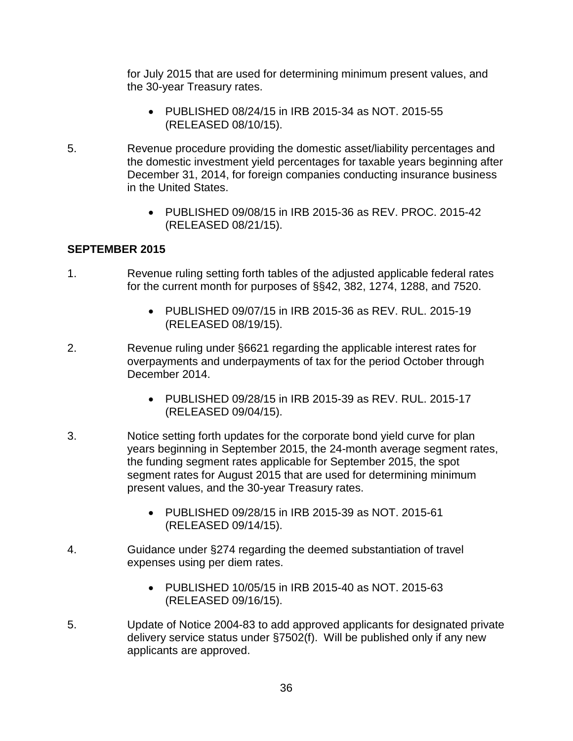for July 2015 that are used for determining minimum present values, and the 30-year Treasury rates.

- PUBLISHED 08/24/15 in IRB 2015-34 as NOT. 2015-55 (RELEASED 08/10/15).
- 5. Revenue procedure providing the domestic asset/liability percentages and the domestic investment yield percentages for taxable years beginning after December 31, 2014, for foreign companies conducting insurance business in the United States.
	- PUBLISHED 09/08/15 in IRB 2015-36 as REV. PROC. 2015-42 (RELEASED 08/21/15).

# **SEPTEMBER 2015**

- 1. Revenue ruling setting forth tables of the adjusted applicable federal rates for the current month for purposes of §§42, 382, 1274, 1288, and 7520.
	- PUBLISHED 09/07/15 in IRB 2015-36 as REV. RUL. 2015-19 (RELEASED 08/19/15).
- 2. Revenue ruling under §6621 regarding the applicable interest rates for overpayments and underpayments of tax for the period October through December 2014.
	- PUBLISHED 09/28/15 in IRB 2015-39 as REV. RUL. 2015-17 (RELEASED 09/04/15).
- 3. Notice setting forth updates for the corporate bond yield curve for plan years beginning in September 2015, the 24-month average segment rates, the funding segment rates applicable for September 2015, the spot segment rates for August 2015 that are used for determining minimum present values, and the 30-year Treasury rates.
	- PUBLISHED 09/28/15 in IRB 2015-39 as NOT. 2015-61 (RELEASED 09/14/15).
- 4. Guidance under §274 regarding the deemed substantiation of travel expenses using per diem rates.
	- PUBLISHED 10/05/15 in IRB 2015-40 as NOT. 2015-63 (RELEASED 09/16/15).
- 5. Update of Notice 2004-83 to add approved applicants for designated private delivery service status under §7502(f). Will be published only if any new applicants are approved.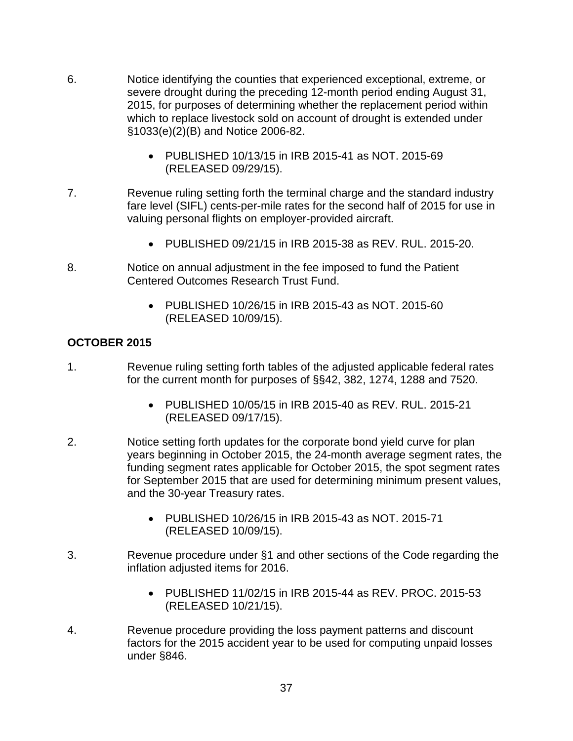- 6. Notice identifying the counties that experienced exceptional, extreme, or severe drought during the preceding 12-month period ending August 31, 2015, for purposes of determining whether the replacement period within which to replace livestock sold on account of drought is extended under §1033(e)(2)(B) and Notice 2006-82.
	- PUBLISHED 10/13/15 in IRB 2015-41 as NOT. 2015-69 (RELEASED 09/29/15).
- 7. Revenue ruling setting forth the terminal charge and the standard industry fare level (SIFL) cents-per-mile rates for the second half of 2015 for use in valuing personal flights on employer-provided aircraft.
	- PUBLISHED 09/21/15 in IRB 2015-38 as REV. RUL. 2015-20.
- 8. Notice on annual adjustment in the fee imposed to fund the Patient Centered Outcomes Research Trust Fund.
	- PUBLISHED 10/26/15 in IRB 2015-43 as NOT. 2015-60 (RELEASED 10/09/15).

# **OCTOBER 2015**

- 1. Revenue ruling setting forth tables of the adjusted applicable federal rates for the current month for purposes of §§42, 382, 1274, 1288 and 7520.
	- PUBLISHED 10/05/15 in IRB 2015-40 as REV. RUL. 2015-21 (RELEASED 09/17/15).
- 2. Notice setting forth updates for the corporate bond yield curve for plan years beginning in October 2015, the 24-month average segment rates, the funding segment rates applicable for October 2015, the spot segment rates for September 2015 that are used for determining minimum present values, and the 30-year Treasury rates.
	- PUBLISHED 10/26/15 in IRB 2015-43 as NOT. 2015-71 (RELEASED 10/09/15).
- 3. Revenue procedure under §1 and other sections of the Code regarding the inflation adjusted items for 2016.
	- PUBLISHED 11/02/15 in IRB 2015-44 as REV. PROC. 2015-53 (RELEASED 10/21/15).
- 4. Revenue procedure providing the loss payment patterns and discount factors for the 2015 accident year to be used for computing unpaid losses under §846.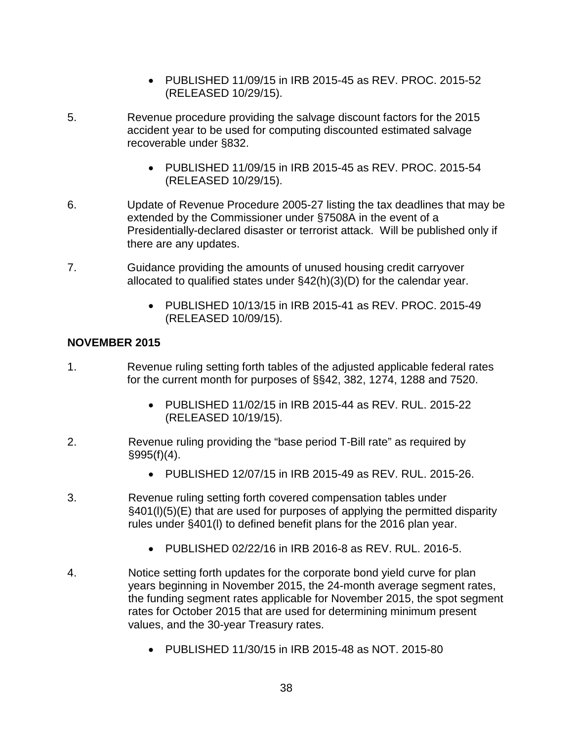- PUBLISHED 11/09/15 in IRB 2015-45 as REV. PROC. 2015-52 (RELEASED 10/29/15).
- 5. Revenue procedure providing the salvage discount factors for the 2015 accident year to be used for computing discounted estimated salvage recoverable under §832.
	- PUBLISHED 11/09/15 in IRB 2015-45 as REV. PROC. 2015-54 (RELEASED 10/29/15).
- 6. Update of Revenue Procedure 2005-27 listing the tax deadlines that may be extended by the Commissioner under §7508A in the event of a Presidentially-declared disaster or terrorist attack. Will be published only if there are any updates.
- 7. Guidance providing the amounts of unused housing credit carryover allocated to qualified states under §42(h)(3)(D) for the calendar year.
	- PUBLISHED 10/13/15 in IRB 2015-41 as REV. PROC. 2015-49 (RELEASED 10/09/15).

### **NOVEMBER 2015**

- 1. Revenue ruling setting forth tables of the adjusted applicable federal rates for the current month for purposes of §§42, 382, 1274, 1288 and 7520.
	- PUBLISHED 11/02/15 in IRB 2015-44 as REV. RUL. 2015-22 (RELEASED 10/19/15).
- 2. Revenue ruling providing the "base period T-Bill rate" as required by §995(f)(4).
	- PUBLISHED 12/07/15 in IRB 2015-49 as REV. RUL. 2015-26.
- 3. Revenue ruling setting forth covered compensation tables under §401(l)(5)(E) that are used for purposes of applying the permitted disparity rules under §401(l) to defined benefit plans for the 2016 plan year.
	- PUBLISHED 02/22/16 in IRB 2016-8 as REV. RUL. 2016-5.
- 4. Notice setting forth updates for the corporate bond yield curve for plan years beginning in November 2015, the 24-month average segment rates, the funding segment rates applicable for November 2015, the spot segment rates for October 2015 that are used for determining minimum present values, and the 30-year Treasury rates.
	- PUBLISHED 11/30/15 in IRB 2015-48 as NOT. 2015-80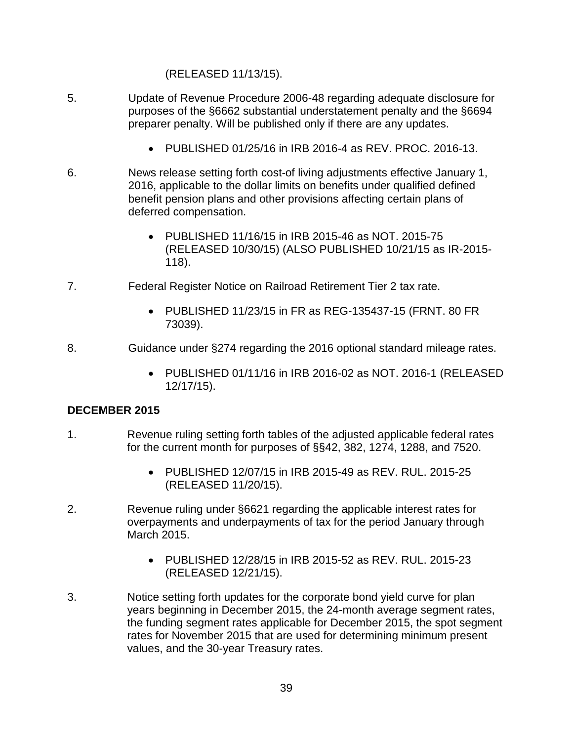#### (RELEASED 11/13/15).

- 5. Update of Revenue Procedure 2006-48 regarding adequate disclosure for purposes of the §6662 substantial understatement penalty and the §6694 preparer penalty. Will be published only if there are any updates.
	- PUBLISHED 01/25/16 in IRB 2016-4 as REV. PROC. 2016-13.
- 6. News release setting forth cost-of living adjustments effective January 1, 2016, applicable to the dollar limits on benefits under qualified defined benefit pension plans and other provisions affecting certain plans of deferred compensation.
	- PUBLISHED 11/16/15 in IRB 2015-46 as NOT. 2015-75 (RELEASED 10/30/15) (ALSO PUBLISHED 10/21/15 as IR-2015- 118).
- 7. Federal Register Notice on Railroad Retirement Tier 2 tax rate.
	- PUBLISHED 11/23/15 in FR as REG-135437-15 (FRNT. 80 FR 73039).
- 8. Guidance under §274 regarding the 2016 optional standard mileage rates.
	- PUBLISHED 01/11/16 in IRB 2016-02 as NOT. 2016-1 (RELEASED 12/17/15).

#### **DECEMBER 2015**

- 1. Revenue ruling setting forth tables of the adjusted applicable federal rates for the current month for purposes of §§42, 382, 1274, 1288, and 7520.
	- PUBLISHED 12/07/15 in IRB 2015-49 as REV. RUL. 2015-25 (RELEASED 11/20/15).
- 2. Revenue ruling under §6621 regarding the applicable interest rates for overpayments and underpayments of tax for the period January through March 2015.
	- PUBLISHED 12/28/15 in IRB 2015-52 as REV. RUL. 2015-23 (RELEASED 12/21/15).
- 3. Notice setting forth updates for the corporate bond yield curve for plan years beginning in December 2015, the 24-month average segment rates, the funding segment rates applicable for December 2015, the spot segment rates for November 2015 that are used for determining minimum present values, and the 30-year Treasury rates.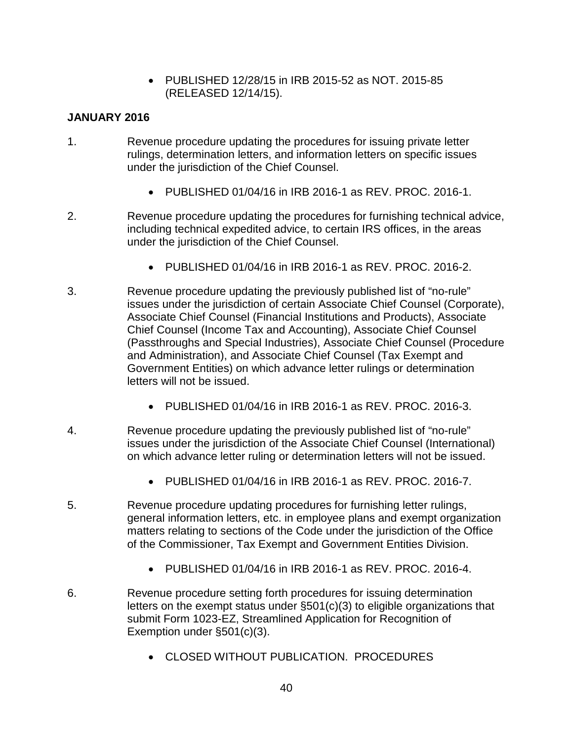• PUBLISHED 12/28/15 in IRB 2015-52 as NOT. 2015-85 (RELEASED 12/14/15).

#### **JANUARY 2016**

- 1. Revenue procedure updating the procedures for issuing private letter rulings, determination letters, and information letters on specific issues under the jurisdiction of the Chief Counsel.
	- PUBLISHED 01/04/16 in IRB 2016-1 as REV. PROC. 2016-1.
- 2. Revenue procedure updating the procedures for furnishing technical advice, including technical expedited advice, to certain IRS offices, in the areas under the jurisdiction of the Chief Counsel.
	- PUBLISHED 01/04/16 in IRB 2016-1 as REV. PROC. 2016-2.
- 3. Revenue procedure updating the previously published list of "no-rule" issues under the jurisdiction of certain Associate Chief Counsel (Corporate), Associate Chief Counsel (Financial Institutions and Products), Associate Chief Counsel (Income Tax and Accounting), Associate Chief Counsel (Passthroughs and Special Industries), Associate Chief Counsel (Procedure and Administration), and Associate Chief Counsel (Tax Exempt and Government Entities) on which advance letter rulings or determination letters will not be issued.
	- PUBLISHED 01/04/16 in IRB 2016-1 as REV. PROC. 2016-3.
- 4. Revenue procedure updating the previously published list of "no-rule" issues under the jurisdiction of the Associate Chief Counsel (International) on which advance letter ruling or determination letters will not be issued.
	- PUBLISHED 01/04/16 in IRB 2016-1 as REV. PROC. 2016-7.
- 5. Revenue procedure updating procedures for furnishing letter rulings, general information letters, etc. in employee plans and exempt organization matters relating to sections of the Code under the jurisdiction of the Office of the Commissioner, Tax Exempt and Government Entities Division.
	- PUBLISHED 01/04/16 in IRB 2016-1 as REV. PROC. 2016-4.
- 6. Revenue procedure setting forth procedures for issuing determination letters on the exempt status under §501(c)(3) to eligible organizations that submit Form 1023-EZ, Streamlined Application for Recognition of Exemption under §501(c)(3).
	- CLOSED WITHOUT PUBLICATION. PROCEDURES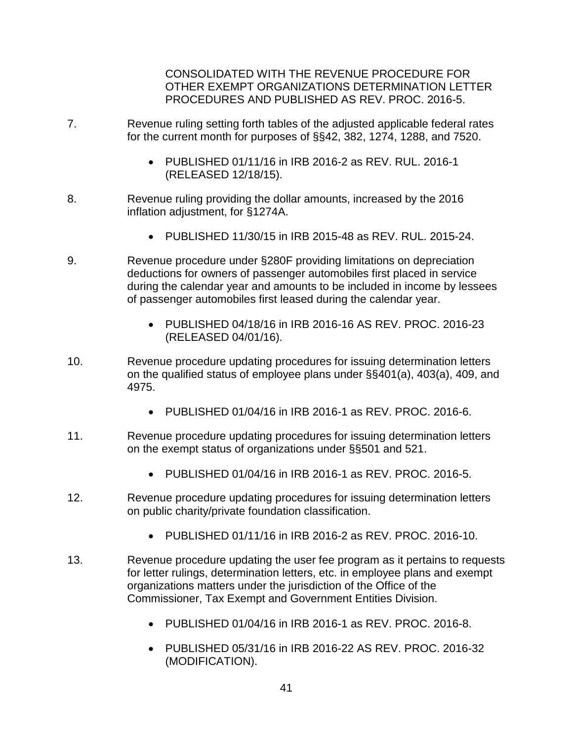CONSOLIDATED WITH THE REVENUE PROCEDURE FOR OTHER EXEMPT ORGANIZATIONS DETERMINATION LETTER PROCEDURES AND PUBLISHED AS REV. PROC. 2016-5.

- 7. Revenue ruling setting forth tables of the adjusted applicable federal rates for the current month for purposes of §§42, 382, 1274, 1288, and 7520.
	- PUBLISHED 01/11/16 in IRB 2016-2 as REV. RUL. 2016-1 (RELEASED 12/18/15).
- 8. Revenue ruling providing the dollar amounts, increased by the 2016 inflation adjustment, for §1274A.
	- PUBLISHED 11/30/15 in IRB 2015-48 as REV. RUL. 2015-24.
- 9. Revenue procedure under §280F providing limitations on depreciation deductions for owners of passenger automobiles first placed in service during the calendar year and amounts to be included in income by lessees of passenger automobiles first leased during the calendar year.
	- PUBLISHED 04/18/16 in IRB 2016-16 AS REV. PROC. 2016-23 (RELEASED 04/01/16).
- 10. Revenue procedure updating procedures for issuing determination letters on the qualified status of employee plans under §§401(a), 403(a), 409, and 4975.
	- PUBLISHED 01/04/16 in IRB 2016-1 as REV. PROC. 2016-6.
- 11. Revenue procedure updating procedures for issuing determination letters on the exempt status of organizations under §§501 and 521.
	- PUBLISHED 01/04/16 in IRB 2016-1 as REV. PROC. 2016-5.
- 12. Revenue procedure updating procedures for issuing determination letters on public charity/private foundation classification.
	- PUBLISHED 01/11/16 in IRB 2016-2 as REV. PROC. 2016-10.
- 13. Revenue procedure updating the user fee program as it pertains to requests for letter rulings, determination letters, etc. in employee plans and exempt organizations matters under the jurisdiction of the Office of the Commissioner, Tax Exempt and Government Entities Division.
	- PUBLISHED 01/04/16 in IRB 2016-1 as REV. PROC. 2016-8.
	- PUBLISHED 05/31/16 in IRB 2016-22 AS REV. PROC. 2016-32 (MODIFICATION).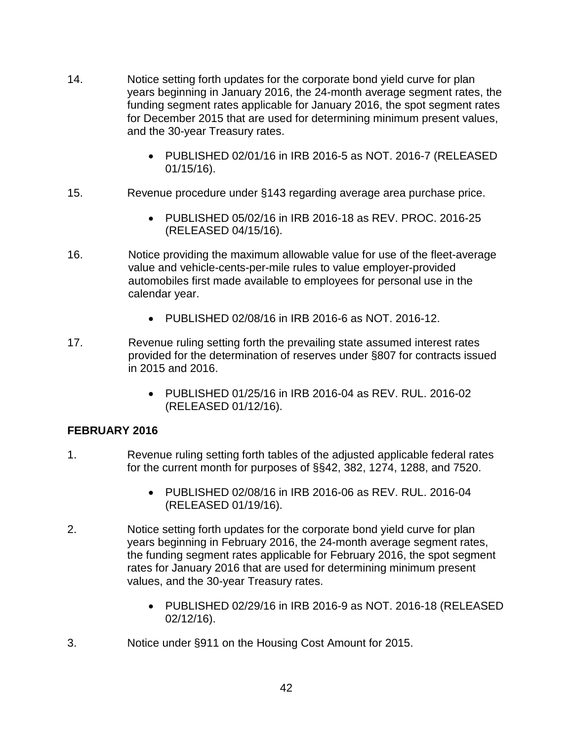- 14. Notice setting forth updates for the corporate bond yield curve for plan years beginning in January 2016, the 24-month average segment rates, the funding segment rates applicable for January 2016, the spot segment rates for December 2015 that are used for determining minimum present values, and the 30-year Treasury rates.
	- PUBLISHED 02/01/16 in IRB 2016-5 as NOT. 2016-7 (RELEASED 01/15/16).
- 15. Revenue procedure under §143 regarding average area purchase price.
	- PUBLISHED 05/02/16 in IRB 2016-18 as REV. PROC. 2016-25 (RELEASED 04/15/16).
- 16. Notice providing the maximum allowable value for use of the fleet-average value and vehicle-cents-per-mile rules to value employer-provided automobiles first made available to employees for personal use in the calendar year.
	- PUBLISHED 02/08/16 in IRB 2016-6 as NOT. 2016-12.
- 17. Revenue ruling setting forth the prevailing state assumed interest rates provided for the determination of reserves under §807 for contracts issued in 2015 and 2016.
	- PUBLISHED 01/25/16 in IRB 2016-04 as REV. RUL. 2016-02 (RELEASED 01/12/16).

#### **FEBRUARY 2016**

- 1. Revenue ruling setting forth tables of the adjusted applicable federal rates for the current month for purposes of §§42, 382, 1274, 1288, and 7520.
	- PUBLISHED 02/08/16 in IRB 2016-06 as REV. RUL. 2016-04 (RELEASED 01/19/16).
- 2. Notice setting forth updates for the corporate bond yield curve for plan years beginning in February 2016, the 24-month average segment rates, the funding segment rates applicable for February 2016, the spot segment rates for January 2016 that are used for determining minimum present values, and the 30-year Treasury rates.
	- PUBLISHED 02/29/16 in IRB 2016-9 as NOT. 2016-18 (RELEASED 02/12/16).
- 3. Notice under §911 on the Housing Cost Amount for 2015.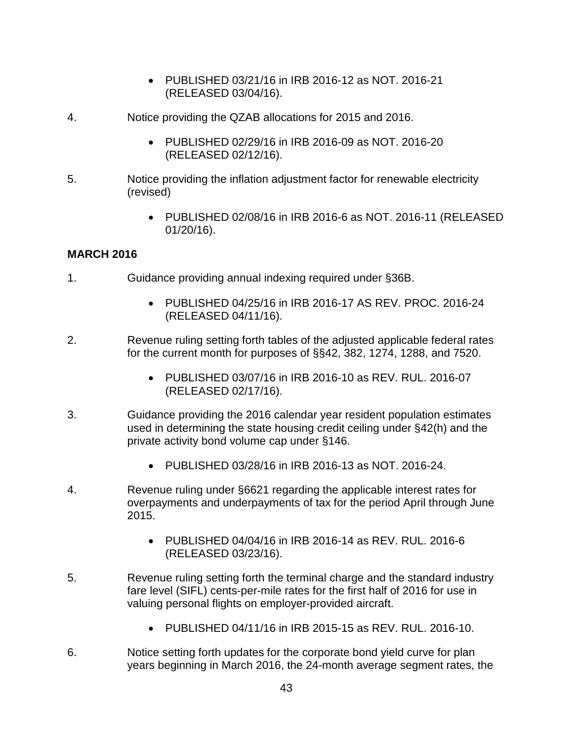- PUBLISHED 03/21/16 in IRB 2016-12 as NOT. 2016-21 (RELEASED 03/04/16).
- 4. Notice providing the QZAB allocations for 2015 and 2016.
	- PUBLISHED 02/29/16 in IRB 2016-09 as NOT. 2016-20 (RELEASED 02/12/16).
- 5. Notice providing the inflation adjustment factor for renewable electricity (revised)
	- PUBLISHED 02/08/16 in IRB 2016-6 as NOT. 2016-11 (RELEASED 01/20/16).

### **MARCH 2016**

- 1. Guidance providing annual indexing required under §36B.
	- PUBLISHED 04/25/16 in IRB 2016-17 AS REV. PROC. 2016-24 (RELEASED 04/11/16).
- 2. Revenue ruling setting forth tables of the adjusted applicable federal rates for the current month for purposes of §§42, 382, 1274, 1288, and 7520.
	- PUBLISHED 03/07/16 in IRB 2016-10 as REV. RUL. 2016-07 (RELEASED 02/17/16).
- 3. Guidance providing the 2016 calendar year resident population estimates used in determining the state housing credit ceiling under §42(h) and the private activity bond volume cap under §146.
	- PUBLISHED 03/28/16 in IRB 2016-13 as NOT. 2016-24.
- 4. Revenue ruling under §6621 regarding the applicable interest rates for overpayments and underpayments of tax for the period April through June 2015.
	- PUBLISHED 04/04/16 in IRB 2016-14 as REV. RUL. 2016-6 (RELEASED 03/23/16).
- 5. Revenue ruling setting forth the terminal charge and the standard industry fare level (SIFL) cents-per-mile rates for the first half of 2016 for use in valuing personal flights on employer-provided aircraft.
	- PUBLISHED 04/11/16 in IRB 2015-15 as REV. RUL. 2016-10.
- 6. Notice setting forth updates for the corporate bond yield curve for plan years beginning in March 2016, the 24-month average segment rates, the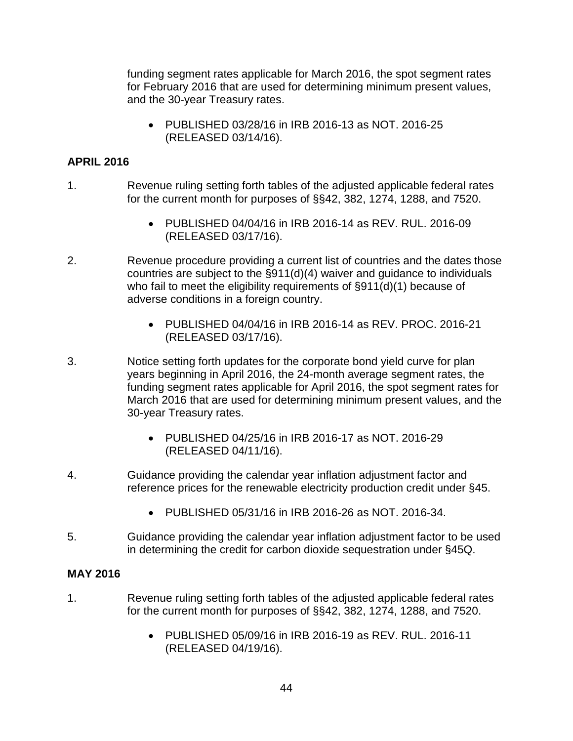funding segment rates applicable for March 2016, the spot segment rates for February 2016 that are used for determining minimum present values, and the 30-year Treasury rates.

• PUBLISHED 03/28/16 in IRB 2016-13 as NOT. 2016-25 (RELEASED 03/14/16).

# **APRIL 2016**

- 1. Revenue ruling setting forth tables of the adjusted applicable federal rates for the current month for purposes of §§42, 382, 1274, 1288, and 7520.
	- PUBLISHED 04/04/16 in IRB 2016-14 as REV. RUL. 2016-09 (RELEASED 03/17/16).
- 2. Revenue procedure providing a current list of countries and the dates those countries are subject to the §911(d)(4) waiver and guidance to individuals who fail to meet the eligibility requirements of §911(d)(1) because of adverse conditions in a foreign country.
	- PUBLISHED 04/04/16 in IRB 2016-14 as REV. PROC. 2016-21 (RELEASED 03/17/16).
- 3. Notice setting forth updates for the corporate bond yield curve for plan years beginning in April 2016, the 24-month average segment rates, the funding segment rates applicable for April 2016, the spot segment rates for March 2016 that are used for determining minimum present values, and the 30-year Treasury rates.
	- PUBLISHED 04/25/16 in IRB 2016-17 as NOT. 2016-29 (RELEASED 04/11/16).
- 4. Guidance providing the calendar year inflation adjustment factor and reference prices for the renewable electricity production credit under §45.
	- PUBLISHED 05/31/16 in IRB 2016-26 as NOT. 2016-34.
- 5. Guidance providing the calendar year inflation adjustment factor to be used in determining the credit for carbon dioxide sequestration under §45Q.

# **MAY 2016**

- 1. Revenue ruling setting forth tables of the adjusted applicable federal rates for the current month for purposes of §§42, 382, 1274, 1288, and 7520.
	- PUBLISHED 05/09/16 in IRB 2016-19 as REV. RUL. 2016-11 (RELEASED 04/19/16).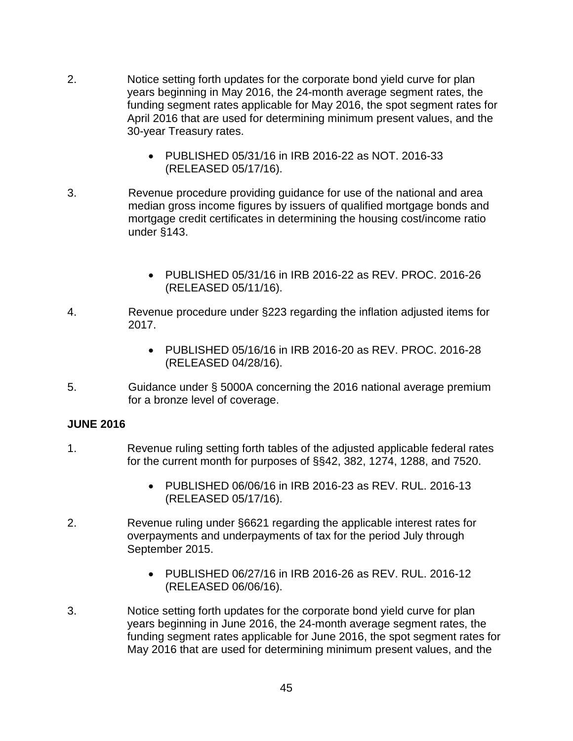- 2. Notice setting forth updates for the corporate bond yield curve for plan years beginning in May 2016, the 24-month average segment rates, the funding segment rates applicable for May 2016, the spot segment rates for April 2016 that are used for determining minimum present values, and the 30-year Treasury rates.
	- PUBLISHED 05/31/16 in IRB 2016-22 as NOT. 2016-33 (RELEASED 05/17/16).
- 3. Revenue procedure providing guidance for use of the national and area median gross income figures by issuers of qualified mortgage bonds and mortgage credit certificates in determining the housing cost/income ratio under §143.
	- PUBLISHED 05/31/16 in IRB 2016-22 as REV. PROC. 2016-26 (RELEASED 05/11/16).
- 4. Revenue procedure under §223 regarding the inflation adjusted items for 2017.
	- PUBLISHED 05/16/16 in IRB 2016-20 as REV. PROC. 2016-28 (RELEASED 04/28/16).
- 5. Guidance under § 5000A concerning the 2016 national average premium for a bronze level of coverage.

#### **JUNE 2016**

- 1. Revenue ruling setting forth tables of the adjusted applicable federal rates for the current month for purposes of §§42, 382, 1274, 1288, and 7520.
	- PUBLISHED 06/06/16 in IRB 2016-23 as REV. RUL. 2016-13 (RELEASED 05/17/16).
- 2. Revenue ruling under §6621 regarding the applicable interest rates for overpayments and underpayments of tax for the period July through September 2015.
	- PUBLISHED 06/27/16 in IRB 2016-26 as REV. RUL. 2016-12 (RELEASED 06/06/16).
- 3. Notice setting forth updates for the corporate bond yield curve for plan years beginning in June 2016, the 24-month average segment rates, the funding segment rates applicable for June 2016, the spot segment rates for May 2016 that are used for determining minimum present values, and the